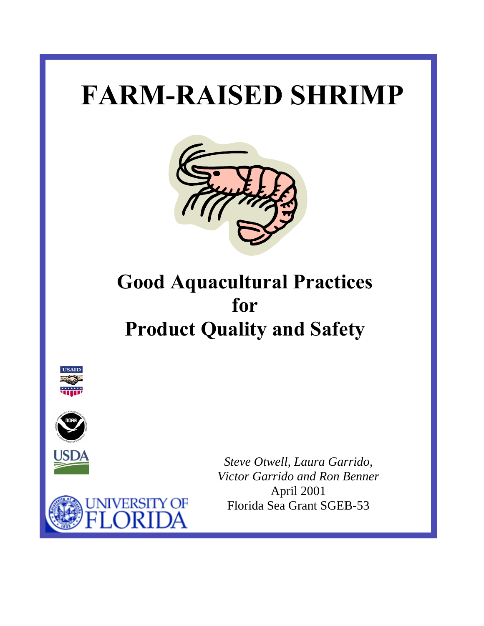# **FARM-RAISED SHRIMP**



# **Good Aquacultural Practices for Product Quality and Safety**





*Steve Otwell, Laura Garrido, Victor Garrido and Ron Benner*  April 2001 Florida Sea Grant SGEB-53

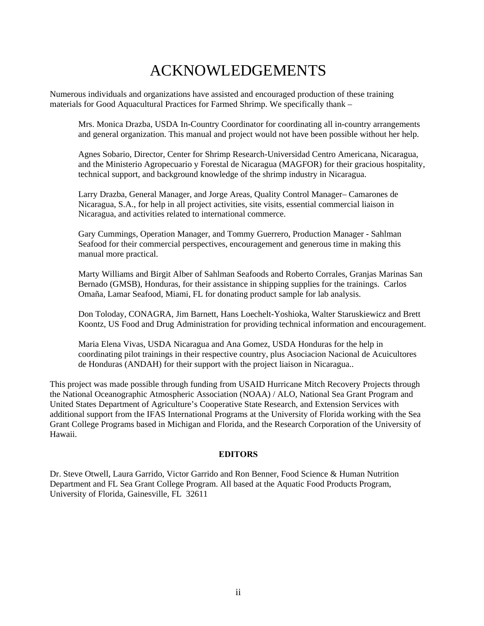## ACKNOWLEDGEMENTS

Numerous individuals and organizations have assisted and encouraged production of these training materials for Good Aquacultural Practices for Farmed Shrimp. We specifically thank –

Mrs. Monica Drazba, USDA In-Country Coordinator for coordinating all in-country arrangements and general organization. This manual and project would not have been possible without her help.

Agnes Sobario, Director, Center for Shrimp Research-Universidad Centro Americana, Nicaragua, and the Ministerio Agropecuario y Forestal de Nicaragua (MAGFOR) for their gracious hospitality, technical support, and background knowledge of the shrimp industry in Nicaragua.

Larry Drazba, General Manager, and Jorge Areas, Quality Control Manager– Camarones de Nicaragua, S.A., for help in all project activities, site visits, essential commercial liaison in Nicaragua, and activities related to international commerce.

Gary Cummings, Operation Manager, and Tommy Guerrero, Production Manager - Sahlman Seafood for their commercial perspectives, encouragement and generous time in making this manual more practical.

Marty Williams and Birgit Alber of Sahlman Seafoods and Roberto Corrales, Granjas Marinas San Bernado (GMSB), Honduras, for their assistance in shipping supplies for the trainings. Carlos Omaña, Lamar Seafood, Miami, FL for donating product sample for lab analysis.

Don Toloday, CONAGRA, Jim Barnett, Hans Loechelt-Yoshioka, Walter Staruskiewicz and Brett Koontz, US Food and Drug Administration for providing technical information and encouragement.

Maria Elena Vivas, USDA Nicaragua and Ana Gomez, USDA Honduras for the help in coordinating pilot trainings in their respective country, plus Asociacion Nacional de Acuicultores de Honduras (ANDAH) for their support with the project liaison in Nicaragua..

This project was made possible through funding from USAID Hurricane Mitch Recovery Projects through the National Oceanographic Atmospheric Association (NOAA) / ALO, National Sea Grant Program and United States Department of Agriculture's Cooperative State Research, and Extension Services with additional support from the IFAS International Programs at the University of Florida working with the Sea Grant College Programs based in Michigan and Florida, and the Research Corporation of the University of Hawaii.

#### **EDITORS**

Dr. Steve Otwell, Laura Garrido, Victor Garrido and Ron Benner, Food Science & Human Nutrition Department and FL Sea Grant College Program. All based at the Aquatic Food Products Program, University of Florida, Gainesville, FL 32611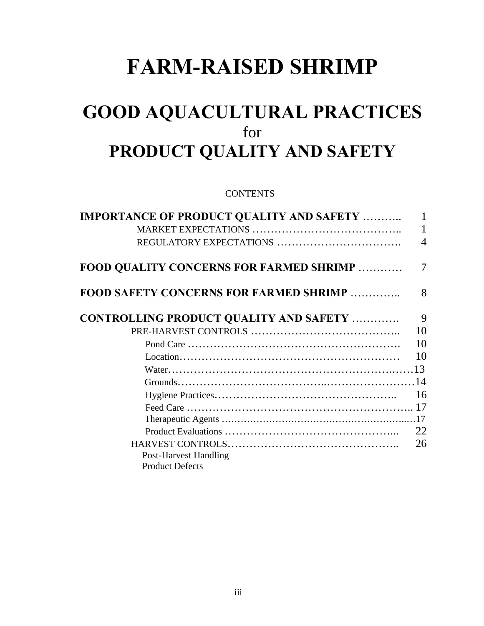# **FARM-RAISED SHRIMP**

## **GOOD AQUACULTURAL PRACTICES**  for **PRODUCT QUALITY AND SAFETY**

**CONTENTS** 

| <b>IMPORTANCE OF PRODUCT QUALITY AND SAFETY </b> | $\mathbf{1}$   |
|--------------------------------------------------|----------------|
|                                                  | $\mathbf{1}$   |
|                                                  | $\overline{4}$ |
| <b>FOOD QUALITY CONCERNS FOR FARMED SHRIMP </b>  | 7              |
| <b>FOOD SAFETY CONCERNS FOR FARMED SHRIMP </b>   | 8              |
| <b>CONTROLLING PRODUCT QUALITY AND SAFETY </b>   | 9              |
|                                                  | 10             |
|                                                  | 10             |
|                                                  | 10             |
|                                                  |                |
|                                                  |                |
|                                                  | 16             |
|                                                  |                |
|                                                  |                |
|                                                  | 22             |
|                                                  | 26             |
| <b>Post-Harvest Handling</b>                     |                |
| <b>Product Defects</b>                           |                |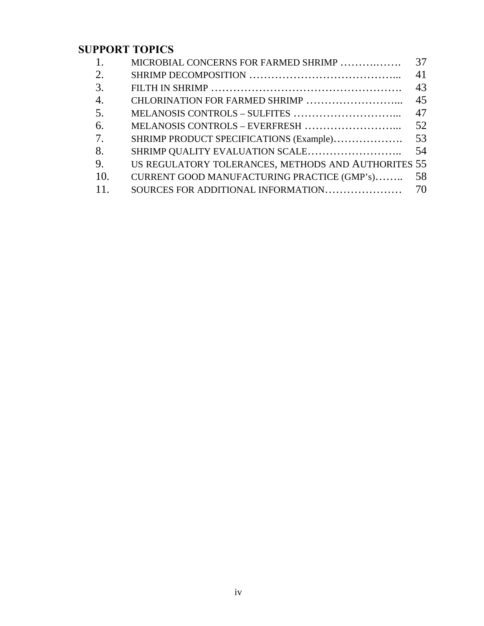## **SUPPORT TOPICS**

| 1.  | MICROBIAL CONCERNS FOR FARMED SHRIMP                | 37 |
|-----|-----------------------------------------------------|----|
| 2.  |                                                     | 41 |
| 3.  |                                                     | 43 |
| 4.  | CHLORINATION FOR FARMED SHRIMP                      | 45 |
| 5.  |                                                     | 47 |
| 6.  |                                                     | 52 |
| 7.  | SHRIMP PRODUCT SPECIFICATIONS (Example)             | 53 |
| 8.  | SHRIMP QUALITY EVALUATION SCALE                     | 54 |
| 9.  | US REGULATORY TOLERANCES, METHODS AND AUTHORITES 55 |    |
| 10. | CURRENT GOOD MANUFACTURING PRACTICE (GMP's)         | 58 |
| 11. | SOURCES FOR ADDITIONAL INFORMATION                  | 70 |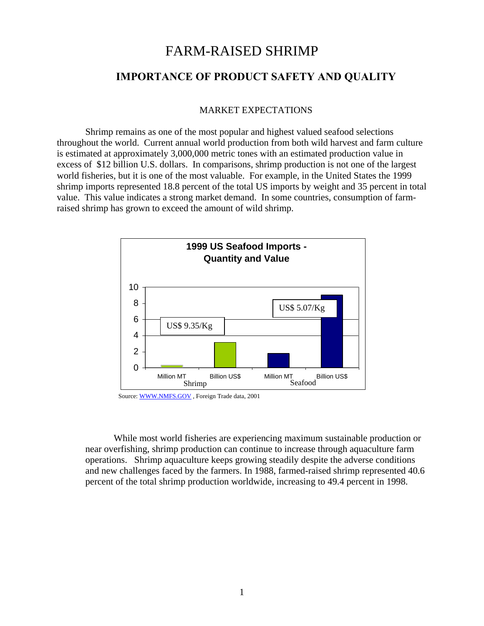## FARM-RAISED SHRIMP

#### **IMPORTANCE OF PRODUCT SAFETY AND QUALITY**

#### MARKET EXPECTATIONS

Shrimp remains as one of the most popular and highest valued seafood selections throughout the world. Current annual world production from both wild harvest and farm culture is estimated at approximately 3,000,000 metric tones with an estimated production value in excess of \$12 billion U.S. dollars. In comparisons, shrimp production is not one of the largest world fisheries, but it is one of the most valuable. For example, in the United States the 1999 shrimp imports represented 18.8 percent of the total US imports by weight and 35 percent in total value. This value indicates a strong market demand. In some countries, consumption of farmraised shrimp has grown to exceed the amount of wild shrimp.



Source: WWW.NMFS.GOV , Foreign Trade data, 2001

While most world fisheries are experiencing maximum sustainable production or near overfishing, shrimp production can continue to increase through aquaculture farm operations. Shrimp aquaculture keeps growing steadily despite the adverse conditions and new challenges faced by the farmers. In 1988, farmed-raised shrimp represented 40.6 percent of the total shrimp production worldwide, increasing to 49.4 percent in 1998.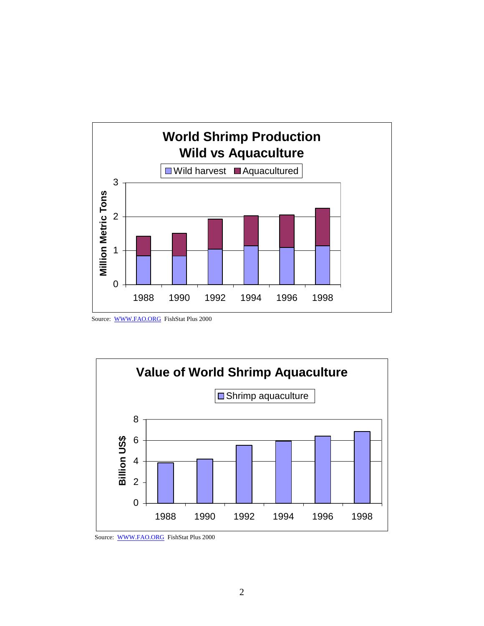

Source: WWW.FAO.ORG FishStat Plus 2000



Source: WWW.FAO.ORG FishStat Plus 2000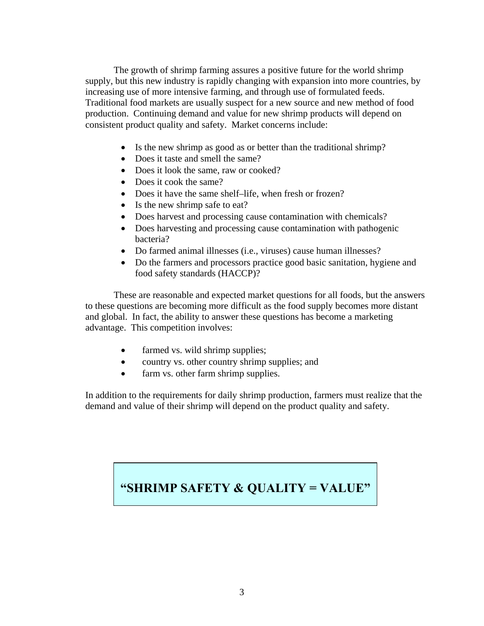The growth of shrimp farming assures a positive future for the world shrimp supply, but this new industry is rapidly changing with expansion into more countries, by increasing use of more intensive farming, and through use of formulated feeds. Traditional food markets are usually suspect for a new source and new method of food production. Continuing demand and value for new shrimp products will depend on consistent product quality and safety. Market concerns include:

- Is the new shrimp as good as or better than the traditional shrimp?
- Does it taste and smell the same?
- Does it look the same, raw or cooked?
- Does it cook the same?
- Does it have the same shelf-life, when fresh or frozen?
- Is the new shrimp safe to eat?
- Does harvest and processing cause contamination with chemicals?
- Does harvesting and processing cause contamination with pathogenic bacteria?
- Do farmed animal illnesses (i.e., viruses) cause human illnesses?
- Do the farmers and processors practice good basic sanitation, hygiene and food safety standards (HACCP)?

These are reasonable and expected market questions for all foods, but the answers to these questions are becoming more difficult as the food supply becomes more distant and global. In fact, the ability to answer these questions has become a marketing advantage. This competition involves:

- farmed vs. wild shrimp supplies;
- country vs. other country shrimp supplies; and
- farm vs. other farm shrimp supplies.

In addition to the requirements for daily shrimp production, farmers must realize that the demand and value of their shrimp will depend on the product quality and safety.

## **"SHRIMP SAFETY & QUALITY = VALUE"**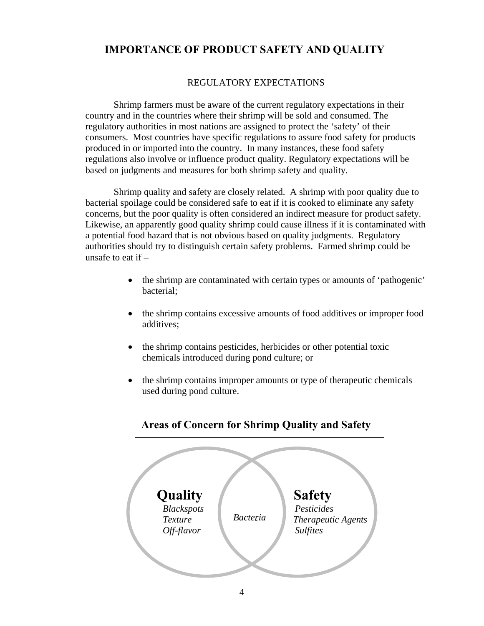#### **IMPORTANCE OF PRODUCT SAFETY AND QUALITY**

#### REGULATORY EXPECTATIONS

Shrimp farmers must be aware of the current regulatory expectations in their country and in the countries where their shrimp will be sold and consumed. The regulatory authorities in most nations are assigned to protect the 'safety' of their consumers. Most countries have specific regulations to assure food safety for products produced in or imported into the country. In many instances, these food safety regulations also involve or influence product quality. Regulatory expectations will be based on judgments and measures for both shrimp safety and quality.

Shrimp quality and safety are closely related. A shrimp with poor quality due to bacterial spoilage could be considered safe to eat if it is cooked to eliminate any safety concerns, but the poor quality is often considered an indirect measure for product safety. Likewise, an apparently good quality shrimp could cause illness if it is contaminated with a potential food hazard that is not obvious based on quality judgments. Regulatory authorities should try to distinguish certain safety problems. Farmed shrimp could be unsafe to eat if  $-$ 

- the shrimp are contaminated with certain types or amounts of 'pathogenic' bacterial;
- the shrimp contains excessive amounts of food additives or improper food additives;
- the shrimp contains pesticides, herbicides or other potential toxic chemicals introduced during pond culture; or
- the shrimp contains improper amounts or type of therapeutic chemicals used during pond culture.



#### **Areas of Concern for Shrimp Quality and Safety**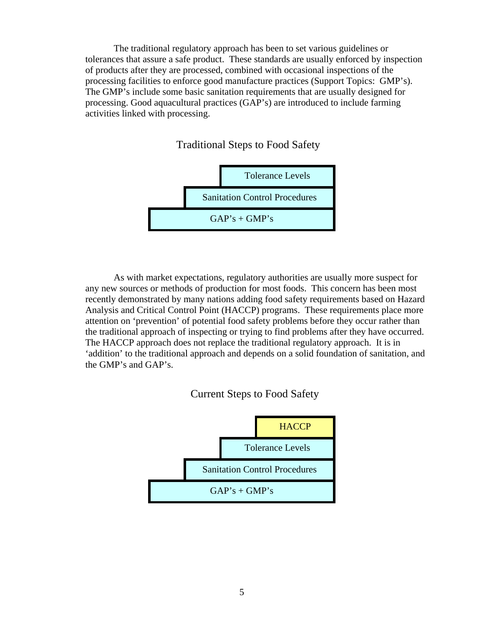The traditional regulatory approach has been to set various guidelines or tolerances that assure a safe product. These standards are usually enforced by inspection of products after they are processed, combined with occasional inspections of the processing facilities to enforce good manufacture practices (Support Topics: GMP's). The GMP's include some basic sanitation requirements that are usually designed for processing. Good aquacultural practices (GAP's) are introduced to include farming activities linked with processing.

Traditional Steps to Food Safety



As with market expectations, regulatory authorities are usually more suspect for any new sources or methods of production for most foods. This concern has been most recently demonstrated by many nations adding food safety requirements based on Hazard Analysis and Critical Control Point (HACCP) programs. These requirements place more attention on 'prevention' of potential food safety problems before they occur rather than the traditional approach of inspecting or trying to find problems after they have occurred. The HACCP approach does not replace the traditional regulatory approach. It is in 'addition' to the traditional approach and depends on a solid foundation of sanitation, and the GMP's and GAP's.

Current Steps to Food Safety

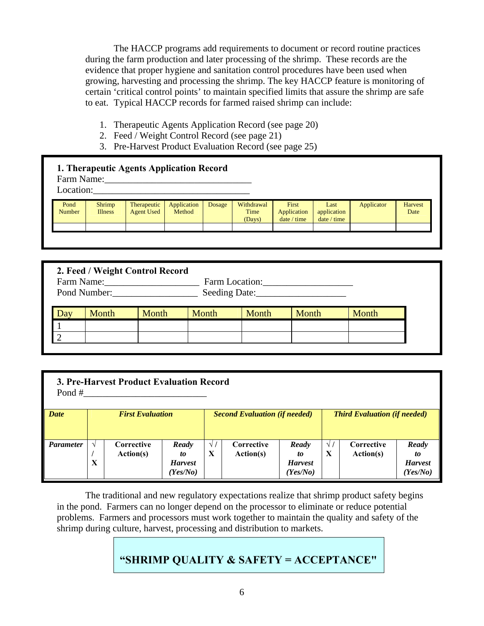The HACCP programs add requirements to document or record routine practices during the farm production and later processing of the shrimp. These records are the evidence that proper hygiene and sanitation control procedures have been used when growing, harvesting and processing the shrimp. The key HACCP feature is monitoring of certain 'critical control points' to maintain specified limits that assure the shrimp are safe to eat. Typical HACCP records for farmed raised shrimp can include:

- 1. Therapeutic Agents Application Record (see page 20)
- 2. Feed / Weight Control Record (see page 21)
- 3. Pre-Harvest Product Evaluation Record (see page 25)

| Farm Name:<br>Location: |                          | 1. Therapeutic Agents Application Record |                       |        |                              |                                     |                                    |            |                        |
|-------------------------|--------------------------|------------------------------------------|-----------------------|--------|------------------------------|-------------------------------------|------------------------------------|------------|------------------------|
| Pond<br>Number          | Shrimp<br><b>Illness</b> | Therapeutic<br><b>Agent Used</b>         | Application<br>Method | Dosage | Withdrawal<br>Time<br>(Days) | First<br>Application<br>date / time | Last<br>application<br>date / time | Applicator | <b>Harvest</b><br>Date |
|                         |                          |                                          |                       |        |                              |                                     |                                    |            |                        |

| 2. Feed / Weight Control Record<br>Farm Name:<br>Farm Location:<br>Pond Number:<br>Seeding Date: |       |       |       |       |       |       |  |  |
|--------------------------------------------------------------------------------------------------|-------|-------|-------|-------|-------|-------|--|--|
| Day                                                                                              | Month | Month | Month | Month | Month | Month |  |  |
|                                                                                                  |       |       |       |       |       |       |  |  |
|                                                                                                  |       |       |       |       |       |       |  |  |
|                                                                                                  |       |       |       |       |       |       |  |  |

| 3. Pre-Harvest Product Evaluation Record<br>Pond# |                         |                         |                                           |                                      |                         |                                           |                                     |                         |                                           |
|---------------------------------------------------|-------------------------|-------------------------|-------------------------------------------|--------------------------------------|-------------------------|-------------------------------------------|-------------------------------------|-------------------------|-------------------------------------------|
| <b>Date</b>                                       | <b>First Evaluation</b> |                         |                                           | <b>Second Evaluation (if needed)</b> |                         |                                           | <b>Third Evaluation (if needed)</b> |                         |                                           |
| <b>Parameter</b>                                  | X                       | Corrective<br>Action(s) | Ready<br>to<br><b>Harvest</b><br>(Yes/No) | $\mathcal N$ .<br>X                  | Corrective<br>Action(s) | Ready<br>to<br><b>Harvest</b><br>(Yes/No) | $\sqrt{ }$<br>$\mathbf X$           | Corrective<br>Action(s) | Ready<br>to<br><b>Harvest</b><br>(Yes/No) |

The traditional and new regulatory expectations realize that shrimp product safety begins in the pond. Farmers can no longer depend on the processor to eliminate or reduce potential problems. Farmers and processors must work together to maintain the quality and safety of the shrimp during culture, harvest, processing and distribution to markets.

## **"SHRIMP QUALITY & SAFETY = ACCEPTANCE"**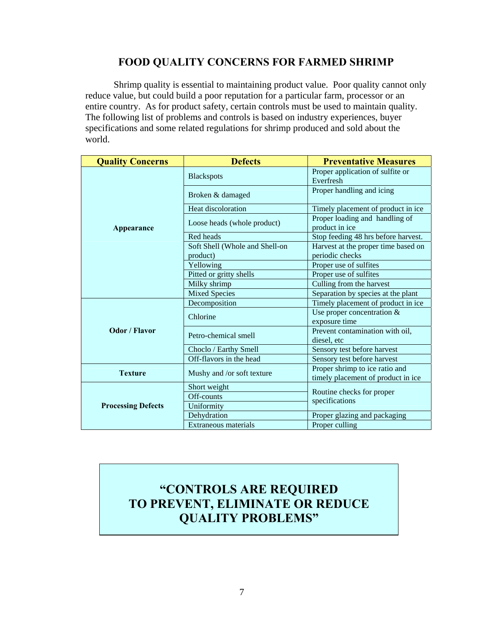#### **FOOD QUALITY CONCERNS FOR FARMED SHRIMP**

 Shrimp quality is essential to maintaining product value. Poor quality cannot only reduce value, but could build a poor reputation for a particular farm, processor or an entire country. As for product safety, certain controls must be used to maintain quality. The following list of problems and controls is based on industry experiences, buyer specifications and some related regulations for shrimp produced and sold about the world.

| <b>Quality Concerns</b>   | <b>Defects</b>                             | <b>Preventative Measures</b>                                         |  |  |  |
|---------------------------|--------------------------------------------|----------------------------------------------------------------------|--|--|--|
|                           | <b>Blackspots</b>                          | Proper application of sulfite or<br>Everfresh                        |  |  |  |
|                           | Broken & damaged                           | Proper handling and icing                                            |  |  |  |
|                           | Heat discoloration                         | Timely placement of product in ice                                   |  |  |  |
| Appearance                | Loose heads (whole product)                | Proper loading and handling of<br>product in ice                     |  |  |  |
|                           | Red heads                                  | Stop feeding 48 hrs before harvest.                                  |  |  |  |
|                           | Soft Shell (Whole and Shell-on<br>product) | Harvest at the proper time based on<br>periodic checks               |  |  |  |
|                           | Yellowing                                  | Proper use of sulfites                                               |  |  |  |
|                           | Pitted or gritty shells                    | Proper use of sulfites                                               |  |  |  |
|                           | Milky shrimp                               | Culling from the harvest                                             |  |  |  |
|                           | <b>Mixed Species</b>                       | Separation by species at the plant                                   |  |  |  |
|                           | Decomposition                              | Timely placement of product in ice                                   |  |  |  |
|                           | Chlorine                                   | Use proper concentration $&$<br>exposure time                        |  |  |  |
| Odor / Flavor             | Petro-chemical smell                       | Prevent contamination with oil,<br>diesel, etc                       |  |  |  |
|                           | Choclo / Earthy Smell                      | Sensory test before harvest                                          |  |  |  |
|                           | Off-flavors in the head                    | Sensory test before harvest                                          |  |  |  |
| <b>Texture</b>            | Mushy and /or soft texture                 | Proper shrimp to ice ratio and<br>timely placement of product in ice |  |  |  |
|                           | Short weight                               |                                                                      |  |  |  |
|                           | Off-counts                                 | Routine checks for proper<br>specifications                          |  |  |  |
| <b>Processing Defects</b> | Uniformity                                 |                                                                      |  |  |  |
|                           | Dehydration                                | Proper glazing and packaging                                         |  |  |  |
|                           | <b>Extraneous materials</b>                | Proper culling                                                       |  |  |  |

## **"CONTROLS ARE REQUIRED TO PREVENT, ELIMINATE OR REDUCE QUALITY PROBLEMS"**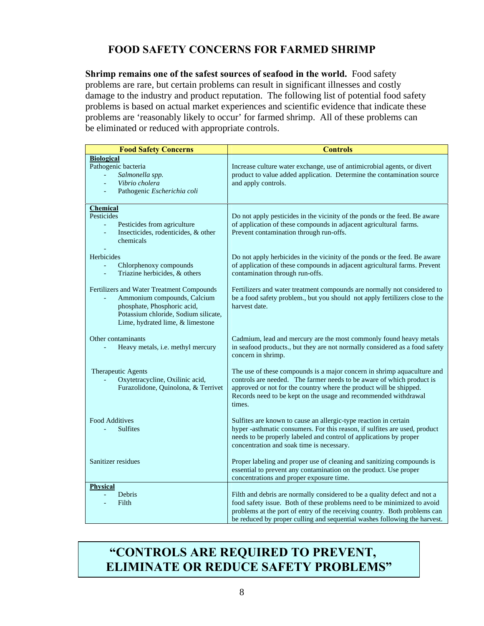### **FOOD SAFETY CONCERNS FOR FARMED SHRIMP**

**Shrimp remains one of the safest sources of seafood in the world.** Food safety problems are rare, but certain problems can result in significant illnesses and costly damage to the industry and product reputation. The following list of potential food safety problems is based on actual market experiences and scientific evidence that indicate these problems are 'reasonably likely to occur' for farmed shrimp. All of these problems can be eliminated or reduced with appropriate controls.

| <b>Food Safety Concerns</b>                                                                                                                                                         | <b>Controls</b>                                                                                                                                                                                                                                                                                                |
|-------------------------------------------------------------------------------------------------------------------------------------------------------------------------------------|----------------------------------------------------------------------------------------------------------------------------------------------------------------------------------------------------------------------------------------------------------------------------------------------------------------|
| <b>Biological</b><br>Pathogenic bacteria<br>Salmonella spp.<br>Vibrio cholera<br>Pathogenic Escherichia coli<br>$\overline{\phantom{a}}$                                            | Increase culture water exchange, use of antimicrobial agents, or divert<br>product to value added application. Determine the contamination source<br>and apply controls.                                                                                                                                       |
| Chemical<br>Pesticides<br>Pesticides from agriculture<br>$\mathbb{L}^+$<br>Insecticides, rodenticides, & other<br>$\Box$<br>chemicals                                               | Do not apply pesticides in the vicinity of the ponds or the feed. Be aware<br>of application of these compounds in adjacent agricultural farms.<br>Prevent contamination through run-offs.                                                                                                                     |
| Herbicides<br>Chlorphenoxy compounds<br>Triazine herbicides, & others<br>$\blacksquare$                                                                                             | Do not apply herbicides in the vicinity of the ponds or the feed. Be aware<br>of application of these compounds in adjacent agricultural farms. Prevent<br>contamination through run-offs.                                                                                                                     |
| Fertilizers and Water Treatment Compounds<br>Ammonium compounds, Calcium<br>phosphate, Phosphoric acid,<br>Potassium chloride, Sodium silicate,<br>Lime, hydrated lime, & limestone | Fertilizers and water treatment compounds are normally not considered to<br>be a food safety problem., but you should not apply fertilizers close to the<br>harvest date.                                                                                                                                      |
| Other contaminants<br>Heavy metals, i.e. methyl mercury                                                                                                                             | Cadmium, lead and mercury are the most commonly found heavy metals<br>in seafood products., but they are not normally considered as a food safety<br>concern in shrimp.                                                                                                                                        |
| Therapeutic Agents<br>Oxytetracycline, Oxilinic acid,<br>Furazolidone, Quinolona, & Terrivet                                                                                        | The use of these compounds is a major concern in shrimp aquaculture and<br>controls are needed. The farmer needs to be aware of which product is<br>approved or not for the country where the product will be shipped.<br>Records need to be kept on the usage and recommended withdrawal<br>times.            |
| <b>Food Additives</b><br><b>Sulfites</b>                                                                                                                                            | Sulfites are known to cause an allergic-type reaction in certain<br>hyper-asthmatic consumers. For this reason, if sulfites are used, product<br>needs to be properly labeled and control of applications by proper<br>concentration and soak time is necessary.                                               |
| Sanitizer residues                                                                                                                                                                  | Proper labeling and proper use of cleaning and sanitizing compounds is<br>essential to prevent any contamination on the product. Use proper<br>concentrations and proper exposure time.                                                                                                                        |
| Physical<br>Debris<br>Filth                                                                                                                                                         | Filth and debris are normally considered to be a quality defect and not a<br>food safety issue. Both of these problems need to be minimized to avoid<br>problems at the port of entry of the receiving country. Both problems can<br>be reduced by proper culling and sequential washes following the harvest. |

## **"CONTROLS ARE REQUIRED TO PREVENT, ELIMINATE OR REDUCE SAFETY PROBLEMS"**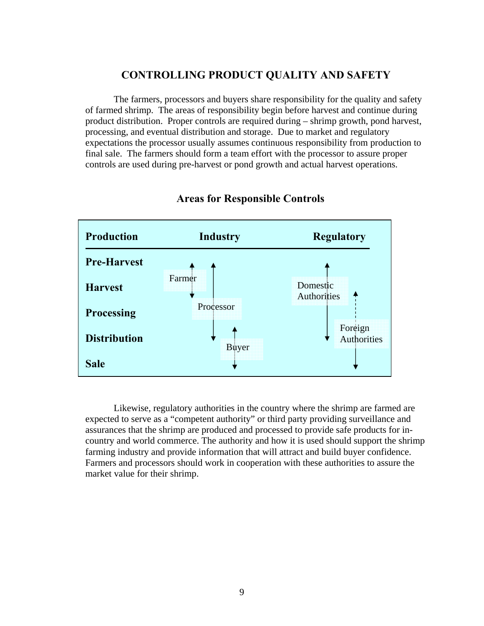#### **CONTROLLING PRODUCT QUALITY AND SAFETY**

The farmers, processors and buyers share responsibility for the quality and safety of farmed shrimp. The areas of responsibility begin before harvest and continue during product distribution. Proper controls are required during – shrimp growth, pond harvest, processing, and eventual distribution and storage. Due to market and regulatory expectations the processor usually assumes continuous responsibility from production to final sale. The farmers should form a team effort with the processor to assure proper controls are used during pre-harvest or pond growth and actual harvest operations.



#### **Areas for Responsible Controls**

Likewise, regulatory authorities in the country where the shrimp are farmed are expected to serve as a "competent authority" or third party providing surveillance and assurances that the shrimp are produced and processed to provide safe products for incountry and world commerce. The authority and how it is used should support the shrimp farming industry and provide information that will attract and build buyer confidence. Farmers and processors should work in cooperation with these authorities to assure the market value for their shrimp.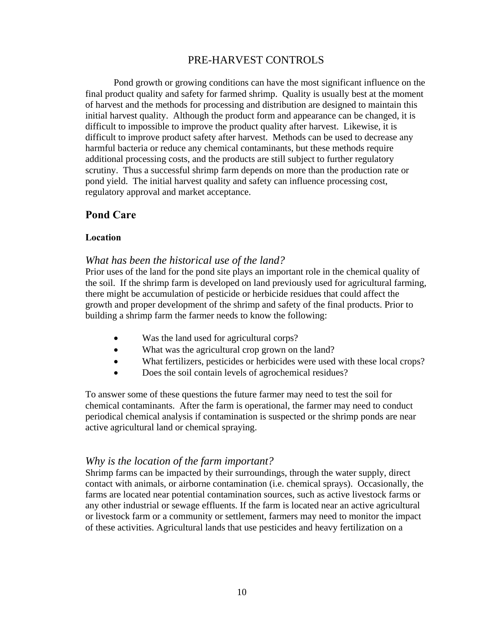#### PRE-HARVEST CONTROLS

 Pond growth or growing conditions can have the most significant influence on the final product quality and safety for farmed shrimp. Quality is usually best at the moment of harvest and the methods for processing and distribution are designed to maintain this initial harvest quality. Although the product form and appearance can be changed, it is difficult to impossible to improve the product quality after harvest. Likewise, it is difficult to improve product safety after harvest. Methods can be used to decrease any harmful bacteria or reduce any chemical contaminants, but these methods require additional processing costs, and the products are still subject to further regulatory scrutiny. Thus a successful shrimp farm depends on more than the production rate or pond yield. The initial harvest quality and safety can influence processing cost, regulatory approval and market acceptance.

#### **Pond Care**

#### **Location**

#### *What has been the historical use of the land?*

Prior uses of the land for the pond site plays an important role in the chemical quality of the soil. If the shrimp farm is developed on land previously used for agricultural farming, there might be accumulation of pesticide or herbicide residues that could affect the growth and proper development of the shrimp and safety of the final products. Prior to building a shrimp farm the farmer needs to know the following:

- Was the land used for agricultural corps?
- What was the agricultural crop grown on the land?
- What fertilizers, pesticides or herbicides were used with these local crops?
- Does the soil contain levels of agrochemical residues?

To answer some of these questions the future farmer may need to test the soil for chemical contaminants. After the farm is operational, the farmer may need to conduct periodical chemical analysis if contamination is suspected or the shrimp ponds are near active agricultural land or chemical spraying.

#### *Why is the location of the farm important?*

Shrimp farms can be impacted by their surroundings, through the water supply, direct contact with animals, or airborne contamination (i.e. chemical sprays). Occasionally, the farms are located near potential contamination sources, such as active livestock farms or any other industrial or sewage effluents. If the farm is located near an active agricultural or livestock farm or a community or settlement, farmers may need to monitor the impact of these activities. Agricultural lands that use pesticides and heavy fertilization on a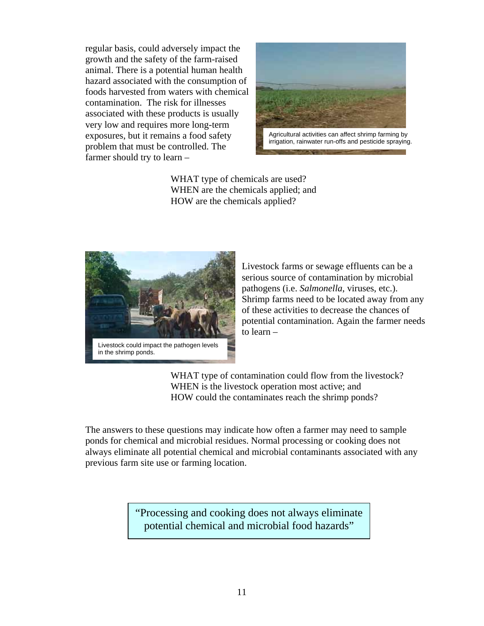regular basis, could adversely impact the growth and the safety of the farm-raised animal. There is a potential human health hazard associated with the consumption of foods harvested from waters with chemical contamination. The risk for illnesses associated with these products is usually very low and requires more long-term exposures, but it remains a food safety problem that must be controlled. The farmer should try to learn –



Agricultural activities can affect shrimp farming by irrigation, rainwater run-offs and pesticide spraying.

WHAT type of chemicals are used? WHEN are the chemicals applied; and HOW are the chemicals applied?



Livestock farms or sewage effluents can be a serious source of contamination by microbial pathogens (i.e. *Salmonella*, viruses, etc.). Shrimp farms need to be located away from any of these activities to decrease the chances of potential contamination. Again the farmer needs to learn –

WHAT type of contamination could flow from the livestock? WHEN is the livestock operation most active; and HOW could the contaminates reach the shrimp ponds?

The answers to these questions may indicate how often a farmer may need to sample ponds for chemical and microbial residues. Normal processing or cooking does not always eliminate all potential chemical and microbial contaminants associated with any previous farm site use or farming location.

> "Processing and cooking does not always eliminate potential chemical and microbial food hazards"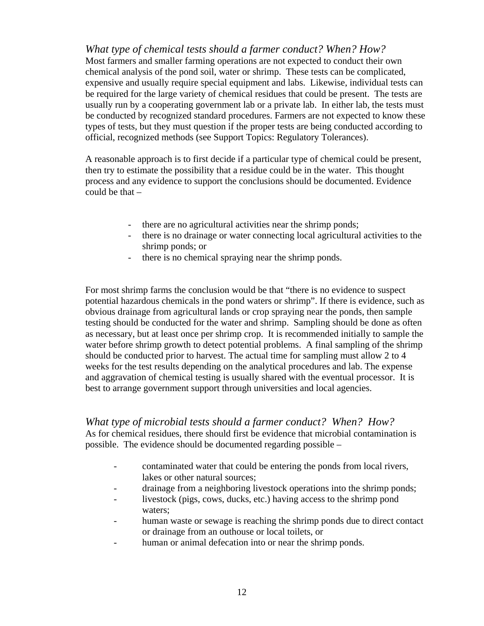*What type of chemical tests should a farmer conduct? When? How?*  Most farmers and smaller farming operations are not expected to conduct their own chemical analysis of the pond soil, water or shrimp. These tests can be complicated, expensive and usually require special equipment and labs. Likewise, individual tests can be required for the large variety of chemical residues that could be present. The tests are usually run by a cooperating government lab or a private lab. In either lab, the tests must be conducted by recognized standard procedures. Farmers are not expected to know these types of tests, but they must question if the proper tests are being conducted according to official, recognized methods (see Support Topics: Regulatory Tolerances).

A reasonable approach is to first decide if a particular type of chemical could be present, then try to estimate the possibility that a residue could be in the water. This thought process and any evidence to support the conclusions should be documented. Evidence could be that –

- there are no agricultural activities near the shrimp ponds;
- there is no drainage or water connecting local agricultural activities to the shrimp ponds; or
- there is no chemical spraying near the shrimp ponds.

For most shrimp farms the conclusion would be that "there is no evidence to suspect potential hazardous chemicals in the pond waters or shrimp". If there is evidence, such as obvious drainage from agricultural lands or crop spraying near the ponds, then sample testing should be conducted for the water and shrimp. Sampling should be done as often as necessary, but at least once per shrimp crop. It is recommended initially to sample the water before shrimp growth to detect potential problems. A final sampling of the shrimp should be conducted prior to harvest. The actual time for sampling must allow 2 to 4 weeks for the test results depending on the analytical procedures and lab. The expense and aggravation of chemical testing is usually shared with the eventual processor. It is best to arrange government support through universities and local agencies.

#### *What type of microbial tests should a farmer conduct? When? How?* As for chemical residues, there should first be evidence that microbial contamination is possible. The evidence should be documented regarding possible –

- contaminated water that could be entering the ponds from local rivers, lakes or other natural sources;
- drainage from a neighboring livestock operations into the shrimp ponds;
- livestock (pigs, cows, ducks, etc.) having access to the shrimp pond waters;
- human waste or sewage is reaching the shrimp ponds due to direct contact or drainage from an outhouse or local toilets, or
- human or animal defecation into or near the shrimp ponds.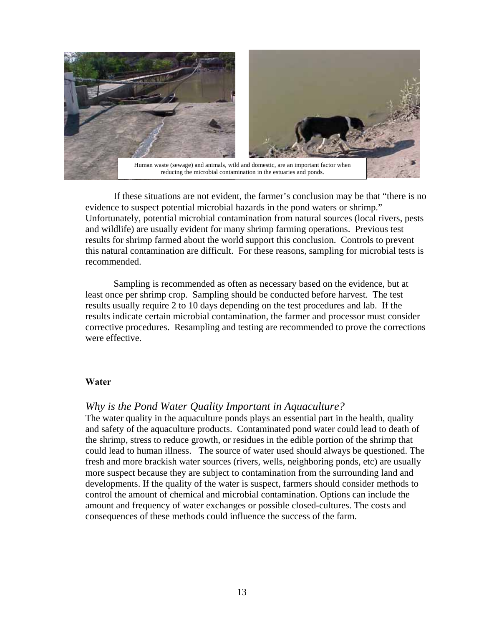

If these situations are not evident, the farmer's conclusion may be that "there is no evidence to suspect potential microbial hazards in the pond waters or shrimp." Unfortunately, potential microbial contamination from natural sources (local rivers, pests and wildlife) are usually evident for many shrimp farming operations. Previous test results for shrimp farmed about the world support this conclusion. Controls to prevent this natural contamination are difficult. For these reasons, sampling for microbial tests is recommended.

 Sampling is recommended as often as necessary based on the evidence, but at least once per shrimp crop. Sampling should be conducted before harvest. The test results usually require 2 to 10 days depending on the test procedures and lab. If the results indicate certain microbial contamination, the farmer and processor must consider corrective procedures. Resampling and testing are recommended to prove the corrections were effective.

#### **Water**

#### *Why is the Pond Water Quality Important in Aquaculture?*

The water quality in the aquaculture ponds plays an essential part in the health, quality and safety of the aquaculture products. Contaminated pond water could lead to death of the shrimp, stress to reduce growth, or residues in the edible portion of the shrimp that could lead to human illness. The source of water used should always be questioned. The fresh and more brackish water sources (rivers, wells, neighboring ponds, etc) are usually more suspect because they are subject to contamination from the surrounding land and developments. If the quality of the water is suspect, farmers should consider methods to control the amount of chemical and microbial contamination. Options can include the amount and frequency of water exchanges or possible closed-cultures. The costs and consequences of these methods could influence the success of the farm.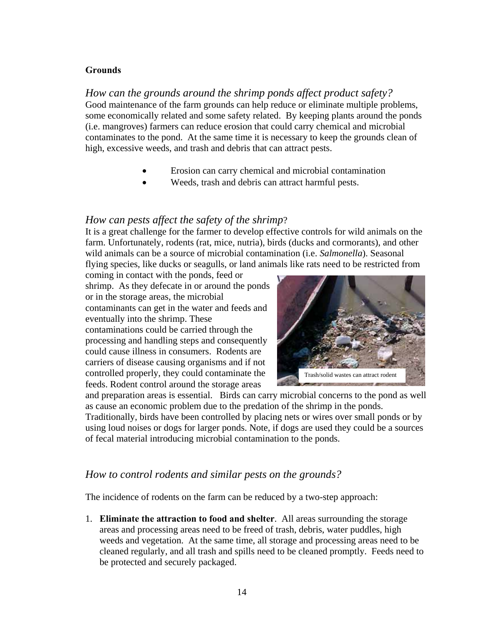#### **Grounds**

#### *How can the grounds around the shrimp ponds affect product safety?*

Good maintenance of the farm grounds can help reduce or eliminate multiple problems, some economically related and some safety related. By keeping plants around the ponds (i.e. mangroves) farmers can reduce erosion that could carry chemical and microbial contaminates to the pond. At the same time it is necessary to keep the grounds clean of high, excessive weeds, and trash and debris that can attract pests.

- Erosion can carry chemical and microbial contamination
- Weeds, trash and debris can attract harmful pests.

#### *How can pests affect the safety of the shrimp*?

It is a great challenge for the farmer to develop effective controls for wild animals on the farm. Unfortunately, rodents (rat, mice, nutria), birds (ducks and cormorants), and other wild animals can be a source of microbial contamination (i.e. *Salmonella*). Seasonal flying species, like ducks or seagulls, or land animals like rats need to be restricted from

coming in contact with the ponds, feed or shrimp. As they defecate in or around the ponds or in the storage areas, the microbial contaminants can get in the water and feeds and eventually into the shrimp. These contaminations could be carried through the processing and handling steps and consequently could cause illness in consumers. Rodents are carriers of disease causing organisms and if not controlled properly, they could contaminate the feeds. Rodent control around the storage areas



and preparation areas is essential. Birds can carry microbial concerns to the pond as well as cause an economic problem due to the predation of the shrimp in the ponds.

Traditionally, birds have been controlled by placing nets or wires over small ponds or by using loud noises or dogs for larger ponds. Note, if dogs are used they could be a sources of fecal material introducing microbial contamination to the ponds.

#### *How to control rodents and similar pests on the grounds?*

The incidence of rodents on the farm can be reduced by a two-step approach:

1. **Eliminate the attraction to food and shelter**. All areas surrounding the storage areas and processing areas need to be freed of trash, debris, water puddles, high weeds and vegetation. At the same time, all storage and processing areas need to be cleaned regularly, and all trash and spills need to be cleaned promptly. Feeds need to be protected and securely packaged.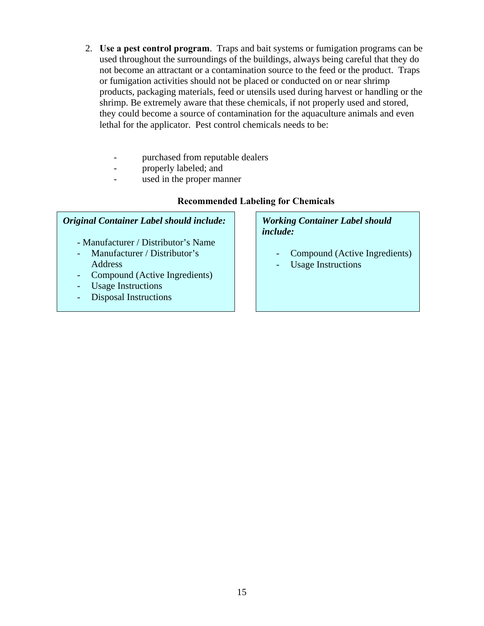- 2. **Use a pest control program**. Traps and bait systems or fumigation programs can be used throughout the surroundings of the buildings, always being careful that they do not become an attractant or a contamination source to the feed or the product. Traps or fumigation activities should not be placed or conducted on or near shrimp products, packaging materials, feed or utensils used during harvest or handling or the shrimp. Be extremely aware that these chemicals, if not properly used and stored, they could become a source of contamination for the aquaculture animals and even lethal for the applicator. Pest control chemicals needs to be:
	- purchased from reputable dealers
	- properly labeled; and
	- used in the proper manner

#### **Recommended Labeling for Chemicals**

#### *Original Container Label should include:*

- Manufacturer / Distributor's Name
- Manufacturer / Distributor's Address
- Compound (Active Ingredients)
- Usage Instructions
- Disposal Instructions

#### *Working Container Label should include:*

- Compound (Active Ingredients)
- Usage Instructions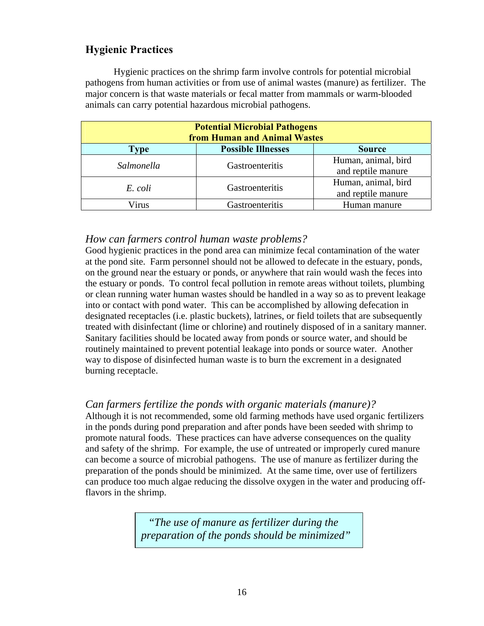### **Hygienic Practices**

 Hygienic practices on the shrimp farm involve controls for potential microbial pathogens from human activities or from use of animal wastes (manure) as fertilizer. The major concern is that waste materials or fecal matter from mammals or warm-blooded animals can carry potential hazardous microbial pathogens.

| <b>Potential Microbial Pathogens</b><br>from Human and Animal Wastes |                           |                                           |  |  |  |  |  |
|----------------------------------------------------------------------|---------------------------|-------------------------------------------|--|--|--|--|--|
| <b>Type</b>                                                          | <b>Possible Illnesses</b> | <b>Source</b>                             |  |  |  |  |  |
| Salmonella                                                           | Gastroenteritis           | Human, animal, bird<br>and reptile manure |  |  |  |  |  |
| E. coli                                                              | Gastroenteritis           | Human, animal, bird<br>and reptile manure |  |  |  |  |  |
| Virus                                                                | Gastroenteritis           | Human manure                              |  |  |  |  |  |

#### *How can farmers control human waste problems?*

Good hygienic practices in the pond area can minimize fecal contamination of the water at the pond site. Farm personnel should not be allowed to defecate in the estuary, ponds, on the ground near the estuary or ponds, or anywhere that rain would wash the feces into the estuary or ponds. To control fecal pollution in remote areas without toilets, plumbing or clean running water human wastes should be handled in a way so as to prevent leakage into or contact with pond water. This can be accomplished by allowing defecation in designated receptacles (i.e. plastic buckets), latrines, or field toilets that are subsequently treated with disinfectant (lime or chlorine) and routinely disposed of in a sanitary manner. Sanitary facilities should be located away from ponds or source water, and should be routinely maintained to prevent potential leakage into ponds or source water. Another way to dispose of disinfected human waste is to burn the excrement in a designated burning receptacle.

#### *Can farmers fertilize the ponds with organic materials (manure)?*

Although it is not recommended, some old farming methods have used organic fertilizers in the ponds during pond preparation and after ponds have been seeded with shrimp to promote natural foods. These practices can have adverse consequences on the quality and safety of the shrimp. For example, the use of untreated or improperly cured manure can become a source of microbial pathogens. The use of manure as fertilizer during the preparation of the ponds should be minimized. At the same time, over use of fertilizers can produce too much algae reducing the dissolve oxygen in the water and producing offflavors in the shrimp.

> "*The use of manure as fertilizer during the preparation of the ponds should be minimized"*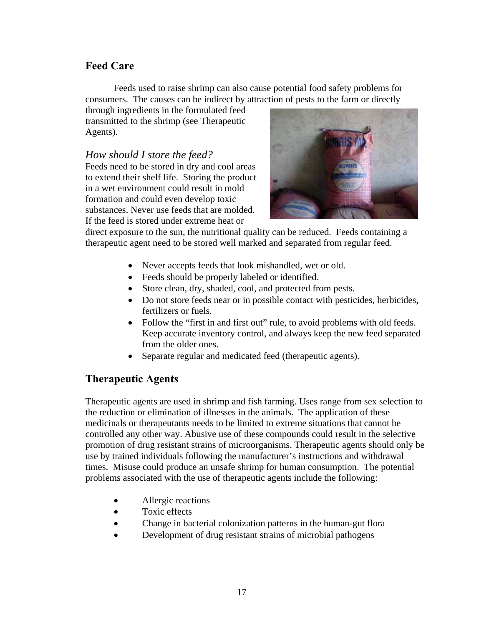#### **Feed Care**

 Feeds used to raise shrimp can also cause potential food safety problems for consumers. The causes can be indirect by attraction of pests to the farm or directly

through ingredients in the formulated feed transmitted to the shrimp (see Therapeutic Agents).

#### *How should I store the feed?*

Feeds need to be stored in dry and cool areas to extend their shelf life. Storing the product in a wet environment could result in mold formation and could even develop toxic substances. Never use feeds that are molded. If the feed is stored under extreme heat or



direct exposure to the sun, the nutritional quality can be reduced. Feeds containing a therapeutic agent need to be stored well marked and separated from regular feed.

- Never accepts feeds that look mishandled, wet or old.
- Feeds should be properly labeled or identified.
- Store clean, dry, shaded, cool, and protected from pests.
- Do not store feeds near or in possible contact with pesticides, herbicides, fertilizers or fuels.
- Follow the "first in and first out" rule, to avoid problems with old feeds. Keep accurate inventory control, and always keep the new feed separated from the older ones.
- Separate regular and medicated feed (therapeutic agents).

#### **Therapeutic Agents**

Therapeutic agents are used in shrimp and fish farming. Uses range from sex selection to the reduction or elimination of illnesses in the animals. The application of these medicinals or therapeutants needs to be limited to extreme situations that cannot be controlled any other way. Abusive use of these compounds could result in the selective promotion of drug resistant strains of microorganisms. Therapeutic agents should only be use by trained individuals following the manufacturer's instructions and withdrawal times. Misuse could produce an unsafe shrimp for human consumption. The potential problems associated with the use of therapeutic agents include the following:

- Allergic reactions
- Toxic effects
- Change in bacterial colonization patterns in the human-gut flora
- Development of drug resistant strains of microbial pathogens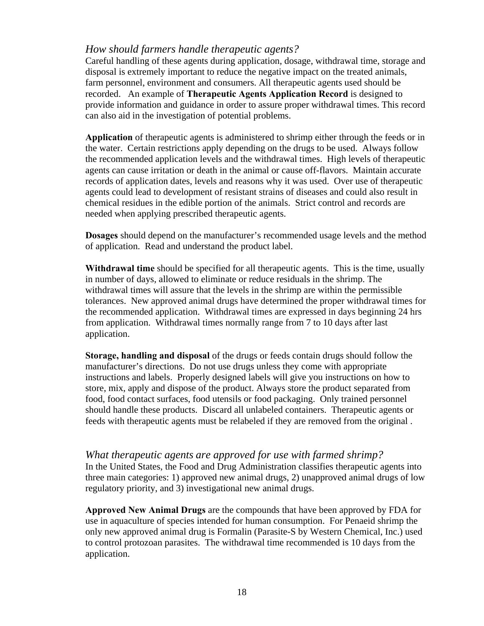#### *How should farmers handle therapeutic agents?*

Careful handling of these agents during application, dosage, withdrawal time, storage and disposal is extremely important to reduce the negative impact on the treated animals, farm personnel, environment and consumers. All therapeutic agents used should be recorded. An example of **Therapeutic Agents Application Record** is designed to provide information and guidance in order to assure proper withdrawal times. This record can also aid in the investigation of potential problems.

**Application** of therapeutic agents is administered to shrimp either through the feeds or in the water. Certain restrictions apply depending on the drugs to be used. Always follow the recommended application levels and the withdrawal times. High levels of therapeutic agents can cause irritation or death in the animal or cause off-flavors. Maintain accurate records of application dates, levels and reasons why it was used. Over use of therapeutic agents could lead to development of resistant strains of diseases and could also result in chemical residues in the edible portion of the animals. Strict control and records are needed when applying prescribed therapeutic agents.

**Dosages** should depend on the manufacturer's recommended usage levels and the method of application. Read and understand the product label.

**Withdrawal time** should be specified for all therapeutic agents. This is the time, usually in number of days, allowed to eliminate or reduce residuals in the shrimp. The withdrawal times will assure that the levels in the shrimp are within the permissible tolerances. New approved animal drugs have determined the proper withdrawal times for the recommended application. Withdrawal times are expressed in days beginning 24 hrs from application. Withdrawal times normally range from 7 to 10 days after last application.

**Storage, handling and disposal** of the drugs or feeds contain drugs should follow the manufacturer's directions. Do not use drugs unless they come with appropriate instructions and labels. Properly designed labels will give you instructions on how to store, mix, apply and dispose of the product. Always store the product separated from food, food contact surfaces, food utensils or food packaging. Only trained personnel should handle these products. Discard all unlabeled containers. Therapeutic agents or feeds with therapeutic agents must be relabeled if they are removed from the original .

#### *What therapeutic agents are approved for use with farmed shrimp?*

In the United States, the Food and Drug Administration classifies therapeutic agents into three main categories: 1) approved new animal drugs, 2) unapproved animal drugs of low regulatory priority, and 3) investigational new animal drugs.

**Approved New Animal Drugs** are the compounds that have been approved by FDA for use in aquaculture of species intended for human consumption. For Penaeid shrimp the only new approved animal drug is Formalin (Parasite-S by Western Chemical, Inc.) used to control protozoan parasites. The withdrawal time recommended is 10 days from the application.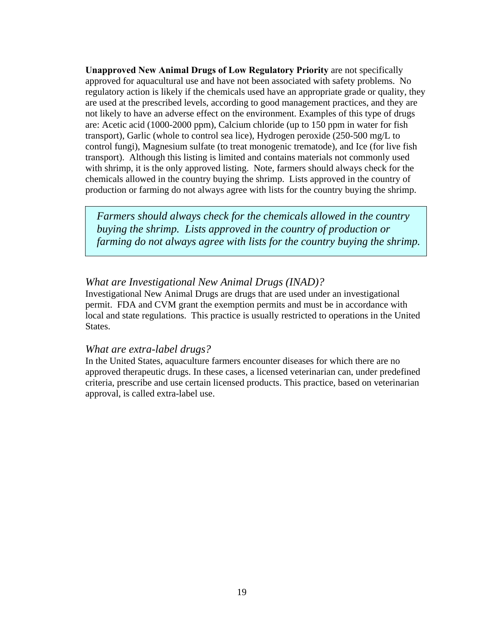**Unapproved New Animal Drugs of Low Regulatory Priority** are not specifically approved for aquacultural use and have not been associated with safety problems. No regulatory action is likely if the chemicals used have an appropriate grade or quality, they are used at the prescribed levels, according to good management practices, and they are not likely to have an adverse effect on the environment. Examples of this type of drugs are: Acetic acid (1000-2000 ppm), Calcium chloride (up to 150 ppm in water for fish transport), Garlic (whole to control sea lice), Hydrogen peroxide (250-500 mg/L to control fungi), Magnesium sulfate (to treat monogenic trematode), and Ice (for live fish transport). Although this listing is limited and contains materials not commonly used with shrimp, it is the only approved listing. Note, farmers should always check for the chemicals allowed in the country buying the shrimp. Lists approved in the country of production or farming do not always agree with lists for the country buying the shrimp.

 *Farmers should always check for the chemicals allowed in the country buying the shrimp. Lists approved in the country of production or farming do not always agree with lists for the country buying the shrimp.* 

#### *What are Investigational New Animal Drugs (INAD)?*

Investigational New Animal Drugs are drugs that are used under an investigational permit. FDA and CVM grant the exemption permits and must be in accordance with local and state regulations. This practice is usually restricted to operations in the United States.

#### *What are extra-label drugs?*

In the United States, aquaculture farmers encounter diseases for which there are no approved therapeutic drugs. In these cases, a licensed veterinarian can, under predefined criteria, prescribe and use certain licensed products. This practice, based on veterinarian approval, is called extra-label use.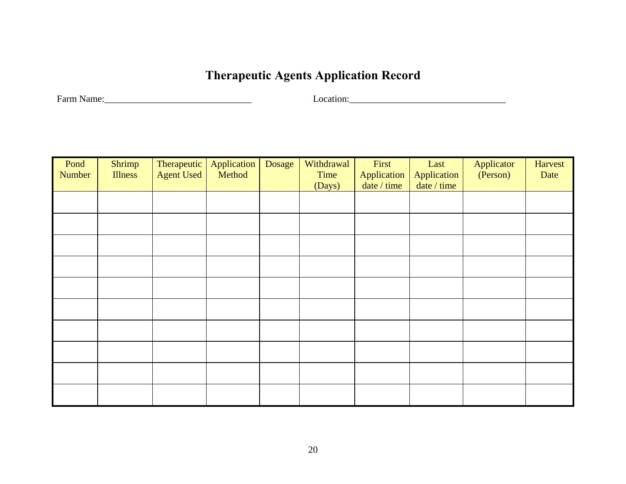## **Therapeutic Agents Application Record**

Farm Name:\_\_\_\_\_\_\_\_\_\_\_\_\_\_\_\_\_\_\_\_\_\_\_\_\_\_\_\_\_\_\_ Location:\_\_\_\_\_\_\_\_\_\_\_\_\_\_\_\_\_\_\_\_\_\_\_\_\_\_\_\_\_\_\_\_\_

| Pond<br>Number | Shrimp<br><b>Illness</b> | Therapeutic<br><b>Agent Used</b> | Application<br>Method | Dosage | Withdrawal<br>Time | First<br>Application | Last<br>Application | Applicator<br>(Person) | Harvest<br>Date |
|----------------|--------------------------|----------------------------------|-----------------------|--------|--------------------|----------------------|---------------------|------------------------|-----------------|
|                |                          |                                  |                       |        | (Days)             | date / time          | date / time         |                        |                 |
|                |                          |                                  |                       |        |                    |                      |                     |                        |                 |
|                |                          |                                  |                       |        |                    |                      |                     |                        |                 |
|                |                          |                                  |                       |        |                    |                      |                     |                        |                 |
|                |                          |                                  |                       |        |                    |                      |                     |                        |                 |
|                |                          |                                  |                       |        |                    |                      |                     |                        |                 |
|                |                          |                                  |                       |        |                    |                      |                     |                        |                 |
|                |                          |                                  |                       |        |                    |                      |                     |                        |                 |
|                |                          |                                  |                       |        |                    |                      |                     |                        |                 |
|                |                          |                                  |                       |        |                    |                      |                     |                        |                 |
|                |                          |                                  |                       |        |                    |                      |                     |                        |                 |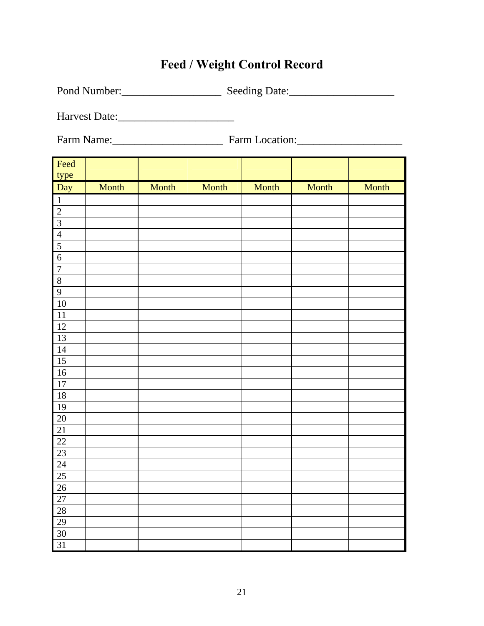## **Feed / Weight Control Record**

Pond Number:\_\_\_\_\_\_\_\_\_\_\_\_\_\_\_\_\_\_ Seeding Date:\_\_\_\_\_\_\_\_\_\_\_\_\_\_\_\_\_\_\_

Harvest Date:\_\_\_\_\_\_\_\_\_\_\_\_\_\_\_\_\_\_\_\_\_

Farm Name:\_\_\_\_\_\_\_\_\_\_\_\_\_\_\_\_\_\_\_\_ Farm Location:\_\_\_\_\_\_\_\_\_\_\_\_\_\_\_\_\_\_\_

| Feed                    |       |       |       |       |       |       |
|-------------------------|-------|-------|-------|-------|-------|-------|
| type                    |       |       |       |       |       |       |
| Day                     | Month | Month | Month | Month | Month | Month |
| $\boxed{1}$             |       |       |       |       |       |       |
| $\frac{2}{3}$           |       |       |       |       |       |       |
|                         |       |       |       |       |       |       |
| $\overline{4}$          |       |       |       |       |       |       |
| $\overline{\mathbf{5}}$ |       |       |       |       |       |       |
| $\overline{6}$          |       |       |       |       |       |       |
| $\overline{7}$          |       |       |       |       |       |       |
| $\overline{\bf 8}$      |       |       |       |       |       |       |
| $\overline{9}$          |       |       |       |       |       |       |
| $\overline{10}$         |       |       |       |       |       |       |
| $\overline{11}$         |       |       |       |       |       |       |
| 12                      |       |       |       |       |       |       |
| $\overline{13}$         |       |       |       |       |       |       |
| 14                      |       |       |       |       |       |       |
| 15                      |       |       |       |       |       |       |
| 16                      |       |       |       |       |       |       |
| $\overline{17}$         |       |       |       |       |       |       |
| 18                      |       |       |       |       |       |       |
| 19                      |       |       |       |       |       |       |
| $\overline{20}$         |       |       |       |       |       |       |
| $\overline{21}$         |       |       |       |       |       |       |
| $\overline{22}$         |       |       |       |       |       |       |
| 23                      |       |       |       |       |       |       |
| 24                      |       |       |       |       |       |       |
| $\overline{25}$         |       |       |       |       |       |       |
| $\overline{26}$         |       |       |       |       |       |       |
| $\overline{27}$         |       |       |       |       |       |       |
| $\overline{28}$         |       |       |       |       |       |       |
| 29                      |       |       |       |       |       |       |
| $\frac{30}{31}$         |       |       |       |       |       |       |
|                         |       |       |       |       |       |       |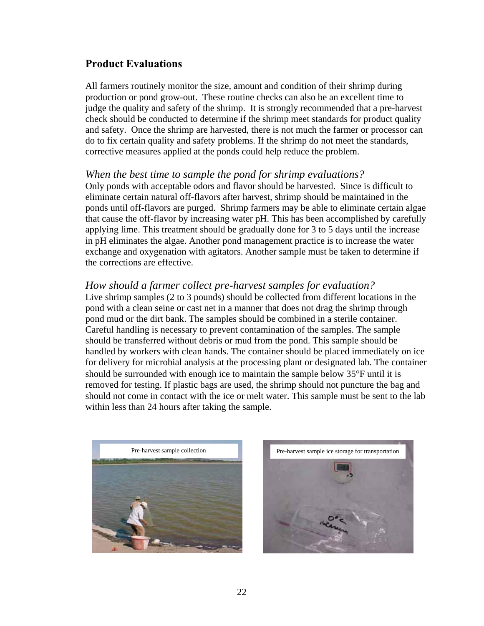#### **Product Evaluations**

All farmers routinely monitor the size, amount and condition of their shrimp during production or pond grow-out. These routine checks can also be an excellent time to judge the quality and safety of the shrimp. It is strongly recommended that a pre-harvest check should be conducted to determine if the shrimp meet standards for product quality and safety. Once the shrimp are harvested, there is not much the farmer or processor can do to fix certain quality and safety problems. If the shrimp do not meet the standards, corrective measures applied at the ponds could help reduce the problem.

#### *When the best time to sample the pond for shrimp evaluations?*

Only ponds with acceptable odors and flavor should be harvested. Since is difficult to eliminate certain natural off-flavors after harvest, shrimp should be maintained in the ponds until off-flavors are purged. Shrimp farmers may be able to eliminate certain algae that cause the off-flavor by increasing water pH. This has been accomplished by carefully applying lime. This treatment should be gradually done for 3 to 5 days until the increase in pH eliminates the algae. Another pond management practice is to increase the water exchange and oxygenation with agitators. Another sample must be taken to determine if the corrections are effective.

#### *How should a farmer collect pre-harvest samples for evaluation?*

Live shrimp samples (2 to 3 pounds) should be collected from different locations in the pond with a clean seine or cast net in a manner that does not drag the shrimp through pond mud or the dirt bank. The samples should be combined in a sterile container. Careful handling is necessary to prevent contamination of the samples. The sample should be transferred without debris or mud from the pond. This sample should be handled by workers with clean hands. The container should be placed immediately on ice for delivery for microbial analysis at the processing plant or designated lab. The container should be surrounded with enough ice to maintain the sample below 35°F until it is removed for testing. If plastic bags are used, the shrimp should not puncture the bag and should not come in contact with the ice or melt water. This sample must be sent to the lab within less than 24 hours after taking the sample.



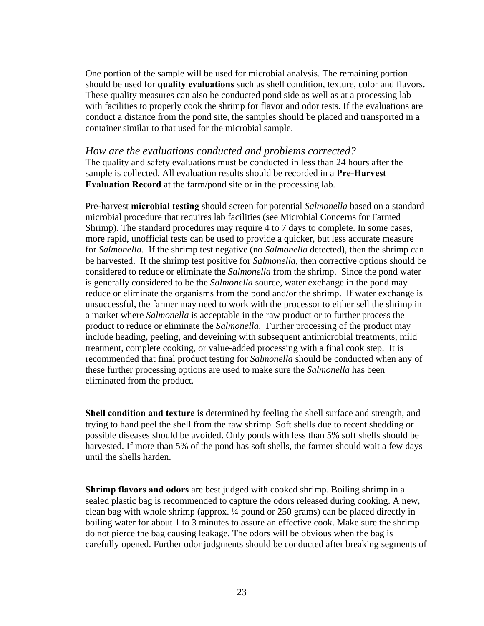One portion of the sample will be used for microbial analysis. The remaining portion should be used for **quality evaluations** such as shell condition, texture, color and flavors. These quality measures can also be conducted pond side as well as at a processing lab with facilities to properly cook the shrimp for flavor and odor tests. If the evaluations are conduct a distance from the pond site, the samples should be placed and transported in a container similar to that used for the microbial sample.

*How are the evaluations conducted and problems corrected?*  The quality and safety evaluations must be conducted in less than 24 hours after the sample is collected. All evaluation results should be recorded in a **Pre-Harvest Evaluation Record** at the farm/pond site or in the processing lab.

Pre-harvest **microbial testing** should screen for potential *Salmonella* based on a standard microbial procedure that requires lab facilities (see Microbial Concerns for Farmed Shrimp). The standard procedures may require 4 to 7 days to complete. In some cases, more rapid, unofficial tests can be used to provide a quicker, but less accurate measure for *Salmonella*. If the shrimp test negative (no *Salmonella* detected), then the shrimp can be harvested. If the shrimp test positive for *Salmonella*, then corrective options should be considered to reduce or eliminate the *Salmonella* from the shrimp. Since the pond water is generally considered to be the *Salmonella* source, water exchange in the pond may reduce or eliminate the organisms from the pond and/or the shrimp. If water exchange is unsuccessful, the farmer may need to work with the processor to either sell the shrimp in a market where *Salmonella* is acceptable in the raw product or to further process the product to reduce or eliminate the *Salmonella*. Further processing of the product may include heading, peeling, and deveining with subsequent antimicrobial treatments, mild treatment, complete cooking, or value-added processing with a final cook step. It is recommended that final product testing for *Salmonella* should be conducted when any of these further processing options are used to make sure the *Salmonella* has been eliminated from the product.

**Shell condition and texture is** determined by feeling the shell surface and strength, and trying to hand peel the shell from the raw shrimp. Soft shells due to recent shedding or possible diseases should be avoided. Only ponds with less than 5% soft shells should be harvested. If more than 5% of the pond has soft shells, the farmer should wait a few days until the shells harden.

**Shrimp flavors and odors** are best judged with cooked shrimp. Boiling shrimp in a sealed plastic bag is recommended to capture the odors released during cooking. A new, clean bag with whole shrimp (approx. ¼ pound or 250 grams) can be placed directly in boiling water for about 1 to 3 minutes to assure an effective cook. Make sure the shrimp do not pierce the bag causing leakage. The odors will be obvious when the bag is carefully opened. Further odor judgments should be conducted after breaking segments of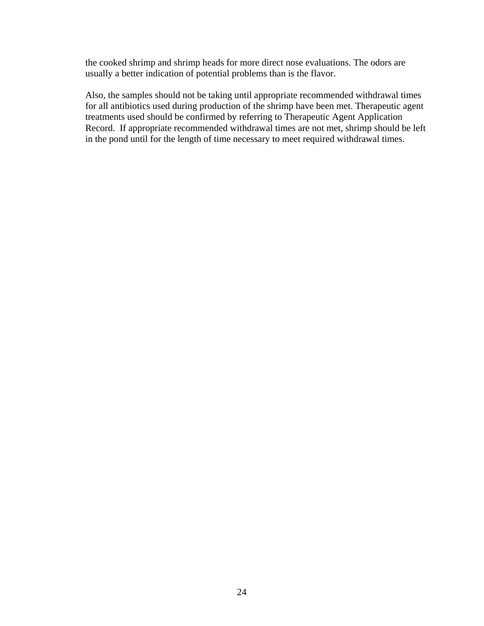the cooked shrimp and shrimp heads for more direct nose evaluations. The odors are usually a better indication of potential problems than is the flavor.

Also, the samples should not be taking until appropriate recommended withdrawal times for all antibiotics used during production of the shrimp have been met. Therapeutic agent treatments used should be confirmed by referring to Therapeutic Agent Application Record. If appropriate recommended withdrawal times are not met, shrimp should be left in the pond until for the length of time necessary to meet required withdrawal times.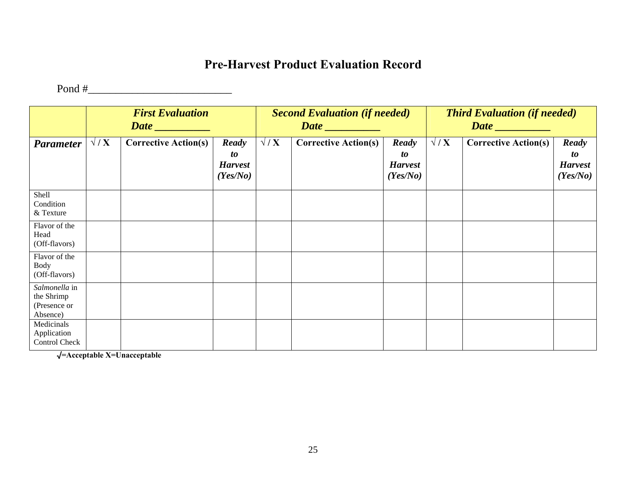## **Pre-Harvest Product Evaluation Record**

Pond #\_\_\_\_\_\_\_\_\_\_\_\_\_\_\_\_\_\_\_\_\_\_\_\_\_\_

|                                                         | <b>First Evaluation</b><br>$Date$ <sub>1</sub> |                             |                                           |            | <b>Second Evaluation (if needed)</b><br><b>Date</b> |                                                  | <b>Third Evaluation (if needed)</b><br>Date has been a set of the set of the set of the set of the set of the set of the set of the set of the set of the set of the set of the set of the set of the set of the set of the set of the set of the set of the set of t |                             |                                           |  |
|---------------------------------------------------------|------------------------------------------------|-----------------------------|-------------------------------------------|------------|-----------------------------------------------------|--------------------------------------------------|-----------------------------------------------------------------------------------------------------------------------------------------------------------------------------------------------------------------------------------------------------------------------|-----------------------------|-------------------------------------------|--|
| <b>Parameter</b>                                        | $\sqrt{X}$                                     | <b>Corrective Action(s)</b> | Ready<br>to<br><b>Harvest</b><br>(Yes/No) | $\sqrt{X}$ | <b>Corrective Action(s)</b>                         | Ready<br><i>to</i><br><b>Harvest</b><br>(Yes/No) | $\sqrt{X}$                                                                                                                                                                                                                                                            | <b>Corrective Action(s)</b> | Ready<br>to<br><b>Harvest</b><br>(Yes/No) |  |
| Shell<br>Condition<br>& Texture                         |                                                |                             |                                           |            |                                                     |                                                  |                                                                                                                                                                                                                                                                       |                             |                                           |  |
| Flavor of the<br>Head<br>(Off-flavors)                  |                                                |                             |                                           |            |                                                     |                                                  |                                                                                                                                                                                                                                                                       |                             |                                           |  |
| Flavor of the<br><b>Body</b><br>(Off-flavors)           |                                                |                             |                                           |            |                                                     |                                                  |                                                                                                                                                                                                                                                                       |                             |                                           |  |
| Salmonella in<br>the Shrimp<br>(Presence or<br>Absence) |                                                |                             |                                           |            |                                                     |                                                  |                                                                                                                                                                                                                                                                       |                             |                                           |  |
| Medicinals<br>Application<br><b>Control Check</b>       |                                                |                             |                                           |            |                                                     |                                                  |                                                                                                                                                                                                                                                                       |                             |                                           |  |

√**=Acceptable X=Unacceptable**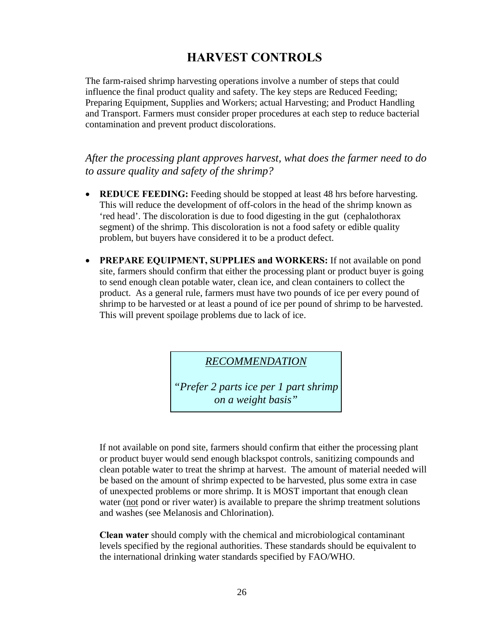## **HARVEST CONTROLS**

The farm-raised shrimp harvesting operations involve a number of steps that could influence the final product quality and safety. The key steps are Reduced Feeding; Preparing Equipment, Supplies and Workers; actual Harvesting; and Product Handling and Transport. Farmers must consider proper procedures at each step to reduce bacterial contamination and prevent product discolorations.

*After the processing plant approves harvest, what does the farmer need to do to assure quality and safety of the shrimp?* 

- **REDUCE FEEDING:** Feeding should be stopped at least 48 hrs before harvesting. This will reduce the development of off-colors in the head of the shrimp known as 'red head'. The discoloration is due to food digesting in the gut (cephalothorax segment) of the shrimp. This discoloration is not a food safety or edible quality problem, but buyers have considered it to be a product defect.
- **PREPARE EQUIPMENT, SUPPLIES and WORKERS:** If not available on pond site, farmers should confirm that either the processing plant or product buyer is going to send enough clean potable water, clean ice, and clean containers to collect the product. As a general rule, farmers must have two pounds of ice per every pound of shrimp to be harvested or at least a pound of ice per pound of shrimp to be harvested. This will prevent spoilage problems due to lack of ice.

*RECOMMENDATION*

*"Prefer 2 parts ice per 1 part shrimp on a weight basis"* 

If not available on pond site, farmers should confirm that either the processing plant or product buyer would send enough blackspot controls, sanitizing compounds and clean potable water to treat the shrimp at harvest. The amount of material needed will be based on the amount of shrimp expected to be harvested, plus some extra in case of unexpected problems or more shrimp. It is MOST important that enough clean water (not pond or river water) is available to prepare the shrimp treatment solutions and washes (see Melanosis and Chlorination).

**Clean water** should comply with the chemical and microbiological contaminant levels specified by the regional authorities. These standards should be equivalent to the international drinking water standards specified by FAO/WHO.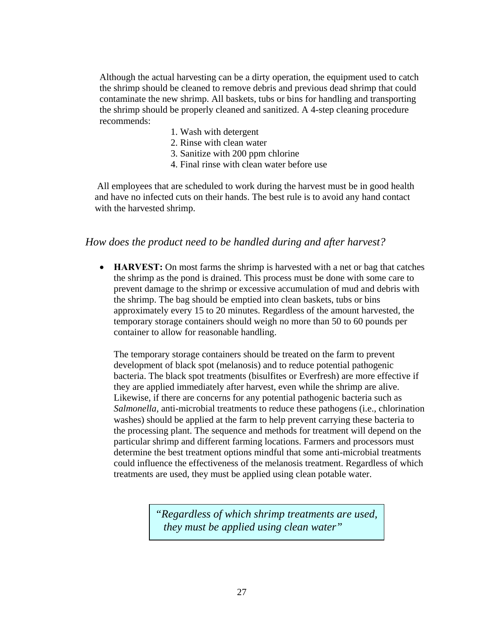Although the actual harvesting can be a dirty operation, the equipment used to catch the shrimp should be cleaned to remove debris and previous dead shrimp that could contaminate the new shrimp. All baskets, tubs or bins for handling and transporting the shrimp should be properly cleaned and sanitized. A 4-step cleaning procedure recommends:

- 1. Wash with detergent
- 2. Rinse with clean water
- 3. Sanitize with 200 ppm chlorine
- 4. Final rinse with clean water before use

 All employees that are scheduled to work during the harvest must be in good health and have no infected cuts on their hands. The best rule is to avoid any hand contact with the harvested shrimp.

#### *How does the product need to be handled during and after harvest?*

• **HARVEST:** On most farms the shrimp is harvested with a net or bag that catches the shrimp as the pond is drained. This process must be done with some care to prevent damage to the shrimp or excessive accumulation of mud and debris with the shrimp. The bag should be emptied into clean baskets, tubs or bins approximately every 15 to 20 minutes. Regardless of the amount harvested, the temporary storage containers should weigh no more than 50 to 60 pounds per container to allow for reasonable handling.

 The temporary storage containers should be treated on the farm to prevent development of black spot (melanosis) and to reduce potential pathogenic bacteria. The black spot treatments (bisulfites or Everfresh) are more effective if they are applied immediately after harvest, even while the shrimp are alive. Likewise, if there are concerns for any potential pathogenic bacteria such as *Salmonella,* anti-microbial treatments to reduce these pathogens (i.e., chlorination washes) should be applied at the farm to help prevent carrying these bacteria to the processing plant. The sequence and methods for treatment will depend on the particular shrimp and different farming locations. Farmers and processors must determine the best treatment options mindful that some anti-microbial treatments could influence the effectiveness of the melanosis treatment. Regardless of which treatments are used, they must be applied using clean potable water.

> *"Regardless of which shrimp treatments are used, they must be applied using clean water"*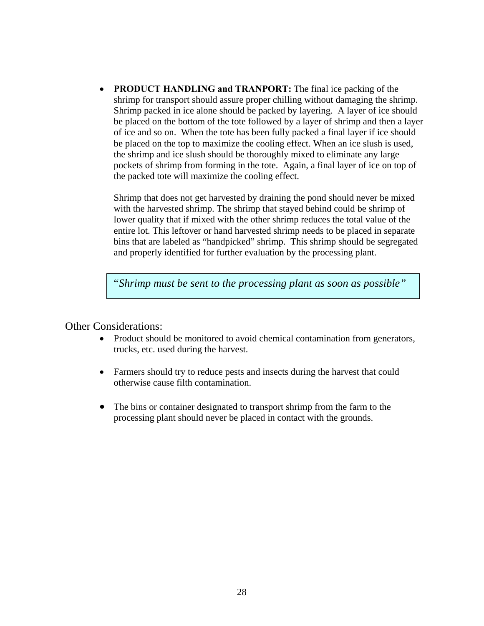• **PRODUCT HANDLING and TRANPORT:** The final ice packing of the shrimp for transport should assure proper chilling without damaging the shrimp. Shrimp packed in ice alone should be packed by layering. A layer of ice should be placed on the bottom of the tote followed by a layer of shrimp and then a layer of ice and so on. When the tote has been fully packed a final layer if ice should be placed on the top to maximize the cooling effect. When an ice slush is used, the shrimp and ice slush should be thoroughly mixed to eliminate any large pockets of shrimp from forming in the tote. Again, a final layer of ice on top of the packed tote will maximize the cooling effect.

Shrimp that does not get harvested by draining the pond should never be mixed with the harvested shrimp. The shrimp that stayed behind could be shrimp of lower quality that if mixed with the other shrimp reduces the total value of the entire lot. This leftover or hand harvested shrimp needs to be placed in separate bins that are labeled as "handpicked" shrimp. This shrimp should be segregated and properly identified for further evaluation by the processing plant.

*"Shrimp must be sent to the processing plant as soon as possible"* 

Other Considerations:

- Product should be monitored to avoid chemical contamination from generators, trucks, etc. used during the harvest.
- Farmers should try to reduce pests and insects during the harvest that could otherwise cause filth contamination.
- The bins or container designated to transport shrimp from the farm to the processing plant should never be placed in contact with the grounds.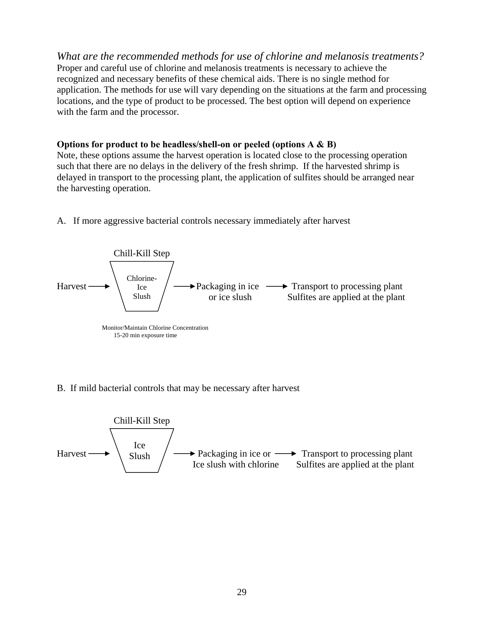*What are the recommended methods for use of chlorine and melanosis treatments?*  Proper and careful use of chlorine and melanosis treatments is necessary to achieve the recognized and necessary benefits of these chemical aids. There is no single method for application. The methods for use will vary depending on the situations at the farm and processing locations, and the type of product to be processed. The best option will depend on experience with the farm and the processor.

#### **Options for product to be headless/shell-on or peeled (options A & B)**

Note, these options assume the harvest operation is located close to the processing operation such that there are no delays in the delivery of the fresh shrimp. If the harvested shrimp is delayed in transport to the processing plant, the application of sulfites should be arranged near the harvesting operation.





#### B. If mild bacterial controls that may be necessary after harvest

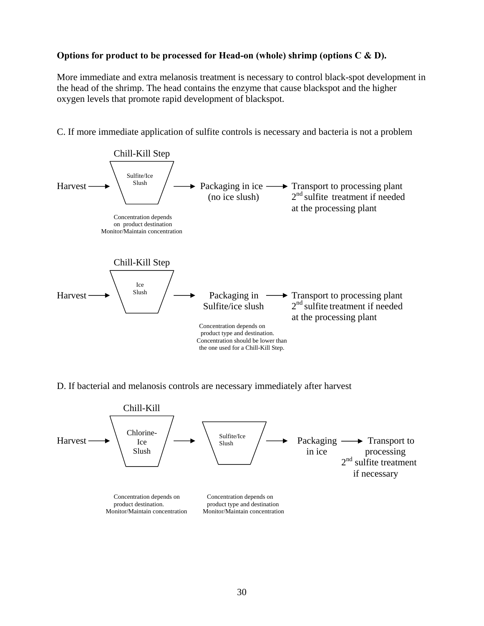#### **Options for product to be processed for Head-on (whole) shrimp (options C & D).**

More immediate and extra melanosis treatment is necessary to control black-spot development in the head of the shrimp. The head contains the enzyme that cause blackspot and the higher oxygen levels that promote rapid development of blackspot.

C. If more immediate application of sulfite controls is necessary and bacteria is not a problem



D. If bacterial and melanosis controls are necessary immediately after harvest

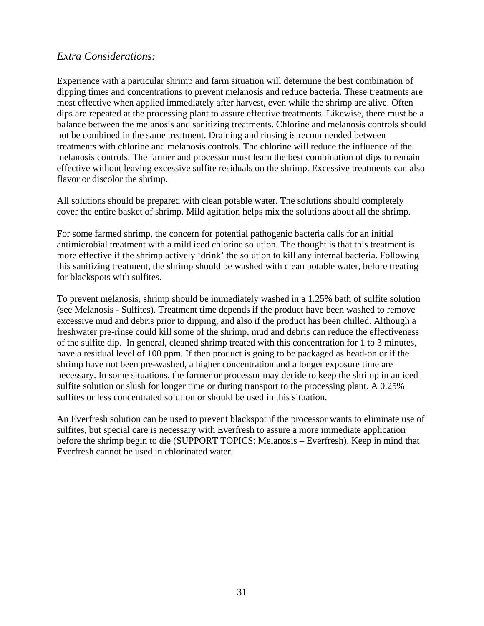#### *Extra Considerations:*

Experience with a particular shrimp and farm situation will determine the best combination of dipping times and concentrations to prevent melanosis and reduce bacteria. These treatments are most effective when applied immediately after harvest, even while the shrimp are alive. Often dips are repeated at the processing plant to assure effective treatments. Likewise, there must be a balance between the melanosis and sanitizing treatments. Chlorine and melanosis controls should not be combined in the same treatment. Draining and rinsing is recommended between treatments with chlorine and melanosis controls. The chlorine will reduce the influence of the melanosis controls. The farmer and processor must learn the best combination of dips to remain effective without leaving excessive sulfite residuals on the shrimp. Excessive treatments can also flavor or discolor the shrimp.

All solutions should be prepared with clean potable water. The solutions should completely cover the entire basket of shrimp. Mild agitation helps mix the solutions about all the shrimp.

For some farmed shrimp, the concern for potential pathogenic bacteria calls for an initial antimicrobial treatment with a mild iced chlorine solution. The thought is that this treatment is more effective if the shrimp actively 'drink' the solution to kill any internal bacteria. Following this sanitizing treatment, the shrimp should be washed with clean potable water, before treating for blackspots with sulfites.

 To prevent melanosis, shrimp should be immediately washed in a 1.25% bath of sulfite solution (see Melanosis - Sulfites). Treatment time depends if the product have been washed to remove excessive mud and debris prior to dipping, and also if the product has been chilled. Although a freshwater pre-rinse could kill some of the shrimp, mud and debris can reduce the effectiveness of the sulfite dip. In general, cleaned shrimp treated with this concentration for 1 to 3 minutes, have a residual level of 100 ppm. If then product is going to be packaged as head-on or if the shrimp have not been pre-washed, a higher concentration and a longer exposure time are necessary. In some situations, the farmer or processor may decide to keep the shrimp in an iced sulfite solution or slush for longer time or during transport to the processing plant. A 0.25% sulfites or less concentrated solution or should be used in this situation.

An Everfresh solution can be used to prevent blackspot if the processor wants to eliminate use of sulfites, but special care is necessary with Everfresh to assure a more immediate application before the shrimp begin to die (SUPPORT TOPICS: Melanosis – Everfresh). Keep in mind that Everfresh cannot be used in chlorinated water.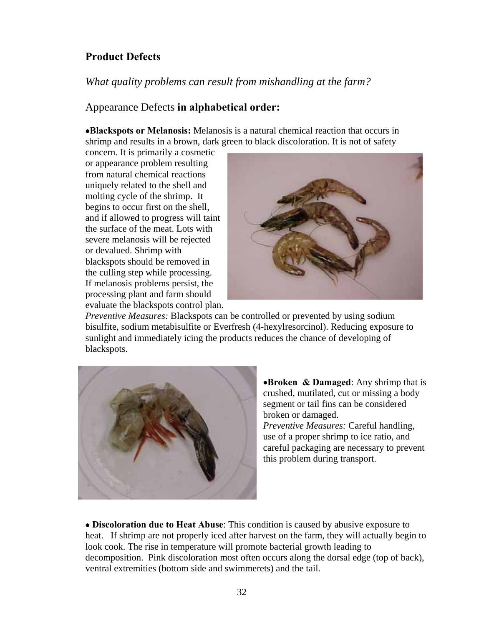### **Product Defects**

*What quality problems can result from mishandling at the farm?* 

#### Appearance Defects **in alphabetical order:**

•**Blackspots or Melanosis:** Melanosis is a natural chemical reaction that occurs in shrimp and results in a brown, dark green to black discoloration. It is not of safety

concern. It is primarily a cosmetic or appearance problem resulting from natural chemical reactions uniquely related to the shell and molting cycle of the shrimp. It begins to occur first on the shell, and if allowed to progress will taint the surface of the meat. Lots with severe melanosis will be rejected or devalued. Shrimp with blackspots should be removed in the culling step while processing. If melanosis problems persist, the processing plant and farm should evaluate the blackspots control plan.



*Preventive Measures:* Blackspots can be controlled or prevented by using sodium bisulfite, sodium metabisulfite or Everfresh (4-hexylresorcinol). Reducing exposure to sunlight and immediately icing the products reduces the chance of developing of blackspots.



•**Broken & Damaged**: Any shrimp that is crushed, mutilated, cut or missing a body segment or tail fins can be considered broken or damaged. *Preventive Measures:* Careful handling, use of a proper shrimp to ice ratio, and careful packaging are necessary to prevent this problem during transport.

• **Discoloration due to Heat Abuse**: This condition is caused by abusive exposure to heat. If shrimp are not properly iced after harvest on the farm, they will actually begin to look cook. The rise in temperature will promote bacterial growth leading to decomposition. Pink discoloration most often occurs along the dorsal edge (top of back), ventral extremities (bottom side and swimmerets) and the tail.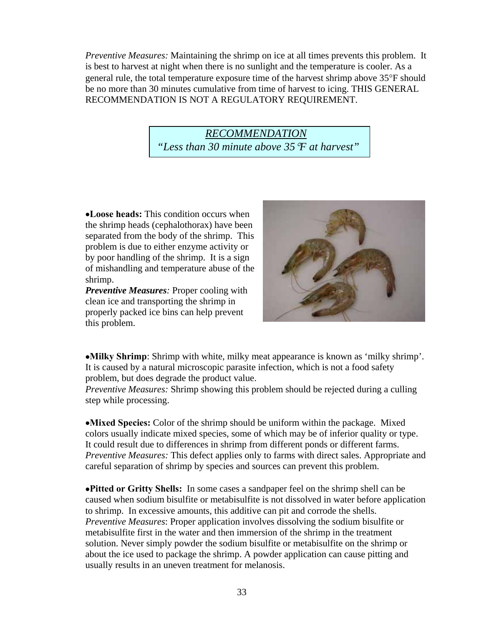*Preventive Measures:* Maintaining the shrimp on ice at all times prevents this problem. It is best to harvest at night when there is no sunlight and the temperature is cooler. As a general rule, the total temperature exposure time of the harvest shrimp above 35°F should be no more than 30 minutes cumulative from time of harvest to icing. THIS GENERAL RECOMMENDATION IS NOT A REGULATORY REQUIREMENT.

> *RECOMMENDATION "Less than 30 minute above 35*°*F at harvest"*

•**Loose heads:** This condition occurs when the shrimp heads (cephalothorax) have been separated from the body of the shrimp. This problem is due to either enzyme activity or by poor handling of the shrimp. It is a sign of mishandling and temperature abuse of the shrimp.

*Preventive Measures:* Proper cooling with clean ice and transporting the shrimp in properly packed ice bins can help prevent this problem.



•**Milky Shrimp**: Shrimp with white, milky meat appearance is known as 'milky shrimp'. It is caused by a natural microscopic parasite infection, which is not a food safety problem, but does degrade the product value.

*Preventive Measures:* Shrimp showing this problem should be rejected during a culling step while processing.

•**Mixed Species:** Color of the shrimp should be uniform within the package. Mixed colors usually indicate mixed species, some of which may be of inferior quality or type. It could result due to differences in shrimp from different ponds or different farms. *Preventive Measures:* This defect applies only to farms with direct sales. Appropriate and careful separation of shrimp by species and sources can prevent this problem.

•**Pitted or Gritty Shells:** In some cases a sandpaper feel on the shrimp shell can be caused when sodium bisulfite or metabisulfite is not dissolved in water before application to shrimp. In excessive amounts, this additive can pit and corrode the shells. *Preventive Measures*: Proper application involves dissolving the sodium bisulfite or metabisulfite first in the water and then immersion of the shrimp in the treatment solution. Never simply powder the sodium bisulfite or metabisulfite on the shrimp or about the ice used to package the shrimp. A powder application can cause pitting and usually results in an uneven treatment for melanosis.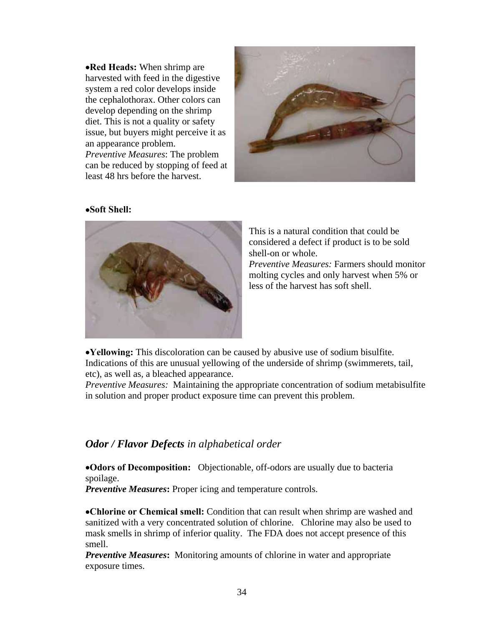•**Red Heads:** When shrimp are harvested with feed in the digestive system a red color develops inside the cephalothorax. Other colors can develop depending on the shrimp diet. This is not a quality or safety issue, but buyers might perceive it as an appearance problem. *Preventive Measures*: The problem can be reduced by stopping of feed at least 48 hrs before the harvest.



#### •**Soft Shell:**



This is a natural condition that could be considered a defect if product is to be sold shell-on or whole.

*Preventive Measures:* Farmers should monitor molting cycles and only harvest when 5% or less of the harvest has soft shell.

•**Yellowing:** This discoloration can be caused by abusive use of sodium bisulfite. Indications of this are unusual yellowing of the underside of shrimp (swimmerets, tail, etc), as well as, a bleached appearance.

*Preventive Measures:* Maintaining the appropriate concentration of sodium metabisulfite in solution and proper product exposure time can prevent this problem.

#### *Odor / Flavor Defects in alphabetical order*

•**Odors of Decomposition:** Objectionable, off-odors are usually due to bacteria spoilage.

*Preventive Measures*: Proper icing and temperature controls.

•**Chlorine or Chemical smell:** Condition that can result when shrimp are washed and sanitized with a very concentrated solution of chlorine. Chlorine may also be used to mask smells in shrimp of inferior quality. The FDA does not accept presence of this smell.

*Preventive Measures***:** Monitoring amounts of chlorine in water and appropriate exposure times.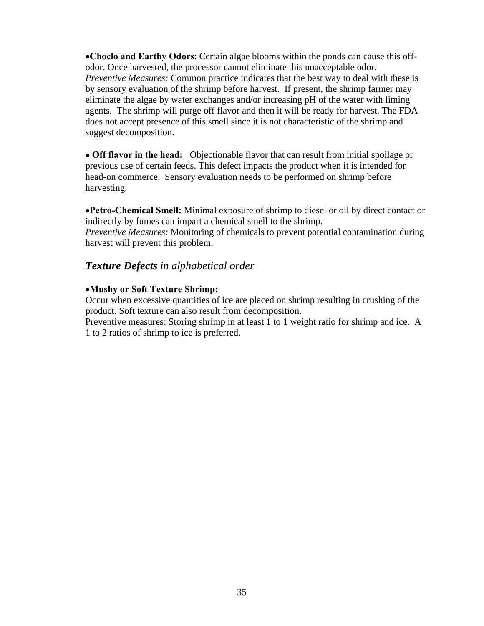•**Choclo and Earthy Odors**: Certain algae blooms within the ponds can cause this offodor. Once harvested, the processor cannot eliminate this unacceptable odor. *Preventive Measures:* Common practice indicates that the best way to deal with these is by sensory evaluation of the shrimp before harvest. If present, the shrimp farmer may eliminate the algae by water exchanges and/or increasing pH of the water with liming agents. The shrimp will purge off flavor and then it will be ready for harvest. The FDA does not accept presence of this smell since it is not characteristic of the shrimp and suggest decomposition.

• **Off flavor in the head:** Objectionable flavor that can result from initial spoilage or previous use of certain feeds. This defect impacts the product when it is intended for head-on commerce. Sensory evaluation needs to be performed on shrimp before harvesting.

•**Petro-Chemical Smell:** Minimal exposure of shrimp to diesel or oil by direct contact or indirectly by fumes can impart a chemical smell to the shrimp. *Preventive Measures:* Monitoring of chemicals to prevent potential contamination during harvest will prevent this problem.

## *Texture Defects in alphabetical order*

#### •**Mushy or Soft Texture Shrimp:**

Occur when excessive quantities of ice are placed on shrimp resulting in crushing of the product. Soft texture can also result from decomposition.

Preventive measures: Storing shrimp in at least 1 to 1 weight ratio for shrimp and ice. A 1 to 2 ratios of shrimp to ice is preferred.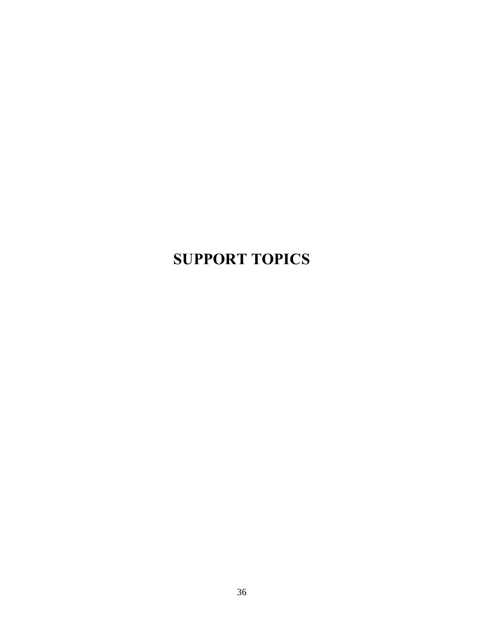# **SUPPORT TOPICS**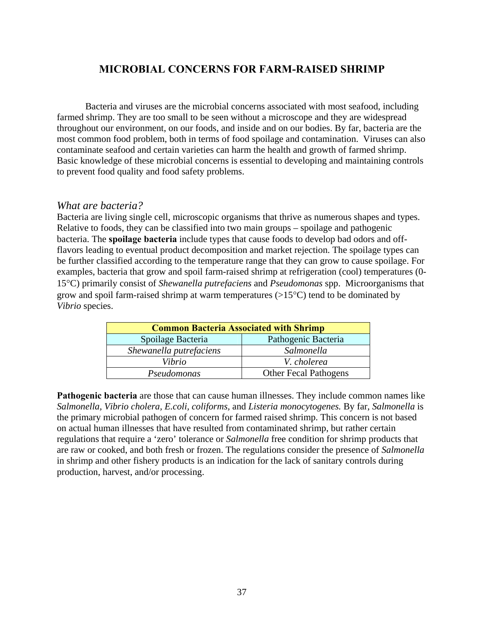# **MICROBIAL CONCERNS FOR FARM-RAISED SHRIMP**

Bacteria and viruses are the microbial concerns associated with most seafood, including farmed shrimp. They are too small to be seen without a microscope and they are widespread throughout our environment, on our foods, and inside and on our bodies. By far, bacteria are the most common food problem, both in terms of food spoilage and contamination. Viruses can also contaminate seafood and certain varieties can harm the health and growth of farmed shrimp. Basic knowledge of these microbial concerns is essential to developing and maintaining controls to prevent food quality and food safety problems.

#### *What are bacteria?*

Bacteria are living single cell, microscopic organisms that thrive as numerous shapes and types. Relative to foods, they can be classified into two main groups – spoilage and pathogenic bacteria. The **spoilage bacteria** include types that cause foods to develop bad odors and offflavors leading to eventual product decomposition and market rejection. The spoilage types can be further classified according to the temperature range that they can grow to cause spoilage. For examples, bacteria that grow and spoil farm-raised shrimp at refrigeration (cool) temperatures (0- 15°C) primarily consist of *Shewanella putrefaciens* and *Pseudomonas* spp. Microorganisms that grow and spoil farm-raised shrimp at warm temperatures  $(>15^{\circ}C)$  tend to be dominated by *Vibrio* species.

| <b>Common Bacteria Associated with Shrimp</b> |                              |  |
|-----------------------------------------------|------------------------------|--|
| Spoilage Bacteria                             | Pathogenic Bacteria          |  |
| Shewanella putrefaciens                       | Salmonella                   |  |
| Vibrio                                        | V. cholerea                  |  |
| Pseudomonas                                   | <b>Other Fecal Pathogens</b> |  |

**Pathogenic bacteria** are those that can cause human illnesses. They include common names like *Salmonella, Vibrio cholera, E.coli, coliforms,* and *Listeria monocytogenes.* By far, *Salmonella* is the primary microbial pathogen of concern for farmed raised shrimp. This concern is not based on actual human illnesses that have resulted from contaminated shrimp, but rather certain regulations that require a 'zero' tolerance or *Salmonella* free condition for shrimp products that are raw or cooked, and both fresh or frozen. The regulations consider the presence of *Salmonella* in shrimp and other fishery products is an indication for the lack of sanitary controls during production, harvest, and/or processing.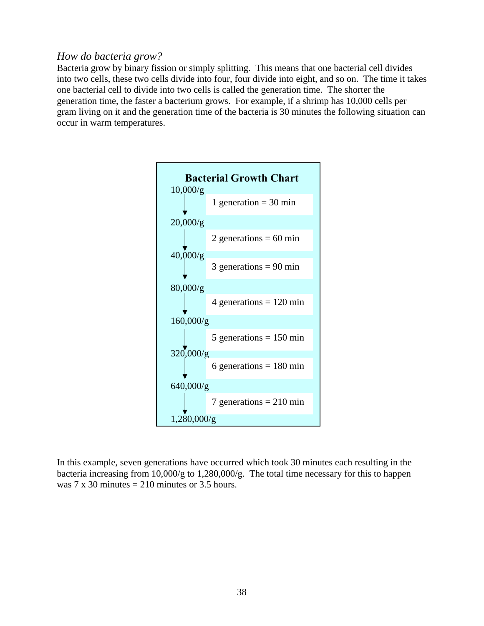## *How do bacteria grow?*

Bacteria grow by binary fission or simply splitting. This means that one bacterial cell divides into two cells, these two cells divide into four, four divide into eight, and so on. The time it takes one bacterial cell to divide into two cells is called the generation time. The shorter the generation time, the faster a bacterium grows. For example, if a shrimp has 10,000 cells per gram living on it and the generation time of the bacteria is 30 minutes the following situation can occur in warm temperatures.



In this example, seven generations have occurred which took 30 minutes each resulting in the bacteria increasing from 10,000/g to 1,280,000/g. The total time necessary for this to happen was  $7 \times 30$  minutes = 210 minutes or 3.5 hours.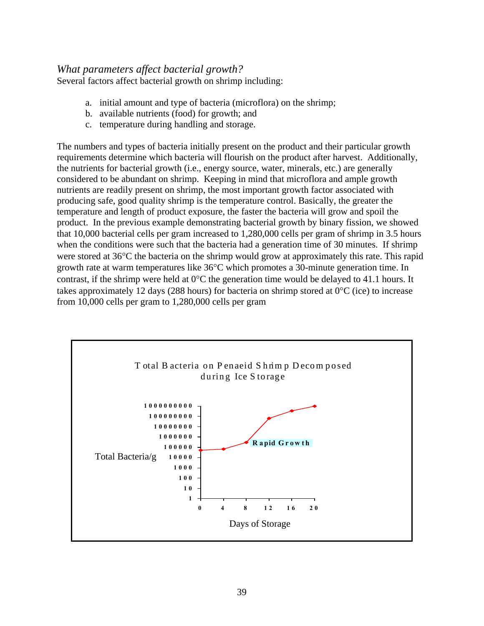## *What parameters affect bacterial growth?*

Several factors affect bacterial growth on shrimp including:

- a. initial amount and type of bacteria (microflora) on the shrimp;
- b. available nutrients (food) for growth; and
- c. temperature during handling and storage.

The numbers and types of bacteria initially present on the product and their particular growth requirements determine which bacteria will flourish on the product after harvest. Additionally, the nutrients for bacterial growth (i.e., energy source, water, minerals, etc.) are generally considered to be abundant on shrimp. Keeping in mind that microflora and ample growth nutrients are readily present on shrimp, the most important growth factor associated with producing safe, good quality shrimp is the temperature control. Basically, the greater the temperature and length of product exposure, the faster the bacteria will grow and spoil the product. In the previous example demonstrating bacterial growth by binary fission, we showed that 10,000 bacterial cells per gram increased to 1,280,000 cells per gram of shrimp in 3.5 hours when the conditions were such that the bacteria had a generation time of 30 minutes. If shrimp were stored at 36°C the bacteria on the shrimp would grow at approximately this rate. This rapid growth rate at warm temperatures like 36°C which promotes a 30-minute generation time. In contrast, if the shrimp were held at 0°C the generation time would be delayed to 41.1 hours. It takes approximately 12 days (288 hours) for bacteria on shrimp stored at  $0^{\circ}C$  (ice) to increase from 10,000 cells per gram to 1,280,000 cells per gram

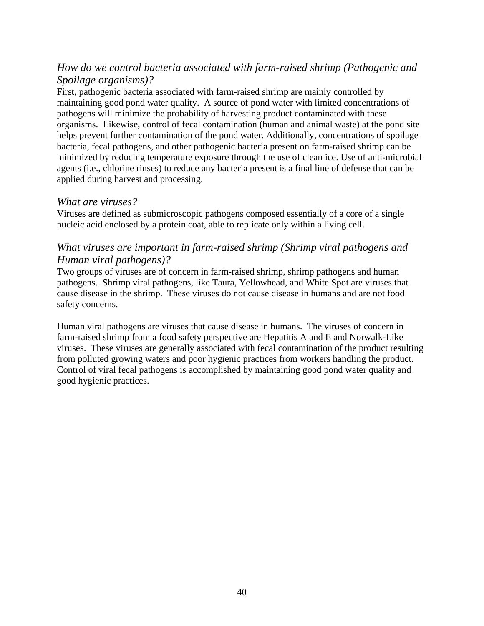# *How do we control bacteria associated with farm-raised shrimp (Pathogenic and Spoilage organisms)?*

First, pathogenic bacteria associated with farm-raised shrimp are mainly controlled by maintaining good pond water quality. A source of pond water with limited concentrations of pathogens will minimize the probability of harvesting product contaminated with these organisms. Likewise, control of fecal contamination (human and animal waste) at the pond site helps prevent further contamination of the pond water. Additionally, concentrations of spoilage bacteria, fecal pathogens, and other pathogenic bacteria present on farm-raised shrimp can be minimized by reducing temperature exposure through the use of clean ice. Use of anti-microbial agents (i.e., chlorine rinses) to reduce any bacteria present is a final line of defense that can be applied during harvest and processing.

## *What are viruses?*

Viruses are defined as submicroscopic pathogens composed essentially of a core of a single nucleic acid enclosed by a protein coat, able to replicate only within a living cell.

## *What viruses are important in farm-raised shrimp (Shrimp viral pathogens and Human viral pathogens)?*

Two groups of viruses are of concern in farm-raised shrimp, shrimp pathogens and human pathogens. Shrimp viral pathogens, like Taura, Yellowhead, and White Spot are viruses that cause disease in the shrimp. These viruses do not cause disease in humans and are not food safety concerns.

Human viral pathogens are viruses that cause disease in humans. The viruses of concern in farm-raised shrimp from a food safety perspective are Hepatitis A and E and Norwalk-Like viruses. These viruses are generally associated with fecal contamination of the product resulting from polluted growing waters and poor hygienic practices from workers handling the product. Control of viral fecal pathogens is accomplished by maintaining good pond water quality and good hygienic practices.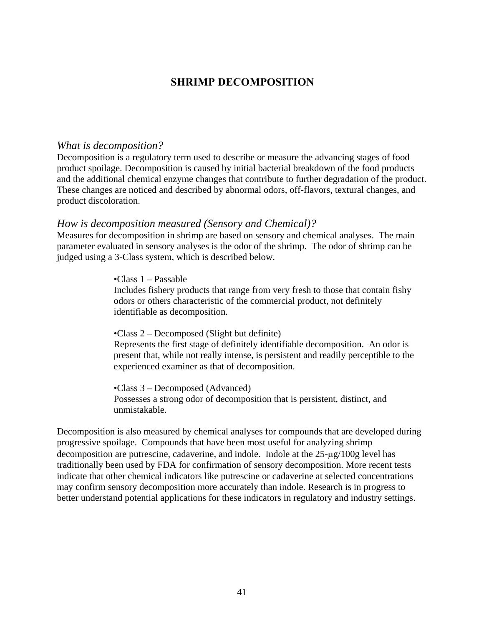## **SHRIMP DECOMPOSITION**

#### *What is decomposition?*

Decomposition is a regulatory term used to describe or measure the advancing stages of food product spoilage. Decomposition is caused by initial bacterial breakdown of the food products and the additional chemical enzyme changes that contribute to further degradation of the product. These changes are noticed and described by abnormal odors, off-flavors, textural changes, and product discoloration.

#### *How is decomposition measured (Sensory and Chemical)?*

Measures for decomposition in shrimp are based on sensory and chemical analyses. The main parameter evaluated in sensory analyses is the odor of the shrimp. The odor of shrimp can be judged using a 3-Class system, which is described below.

> •Class 1 – Passable Includes fishery products that range from very fresh to those that contain fishy odors or others characteristic of the commercial product, not definitely identifiable as decomposition.

> •Class 2 – Decomposed (Slight but definite) Represents the first stage of definitely identifiable decomposition. An odor is present that, while not really intense, is persistent and readily perceptible to the experienced examiner as that of decomposition.

•Class 3 – Decomposed (Advanced) Possesses a strong odor of decomposition that is persistent, distinct, and unmistakable.

Decomposition is also measured by chemical analyses for compounds that are developed during progressive spoilage. Compounds that have been most useful for analyzing shrimp decomposition are putrescine, cadaverine, and indole. Indole at the 25-µg/100g level has traditionally been used by FDA for confirmation of sensory decomposition. More recent tests indicate that other chemical indicators like putrescine or cadaverine at selected concentrations may confirm sensory decomposition more accurately than indole. Research is in progress to better understand potential applications for these indicators in regulatory and industry settings.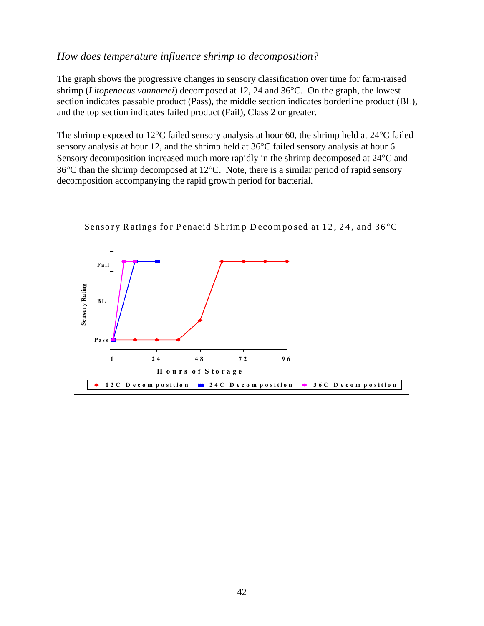#### *How does temperature influence shrimp to decomposition?*

The graph shows the progressive changes in sensory classification over time for farm-raised shrimp (*Litopenaeus vannamei*) decomposed at 12, 24 and 36°C. On the graph, the lowest section indicates passable product (Pass), the middle section indicates borderline product (BL), and the top section indicates failed product (Fail), Class 2 or greater.

The shrimp exposed to 12°C failed sensory analysis at hour 60, the shrimp held at 24°C failed sensory analysis at hour 12, and the shrimp held at 36°C failed sensory analysis at hour 6. Sensory decomposition increased much more rapidly in the shrimp decomposed at 24°C and 36°C than the shrimp decomposed at 12°C. Note, there is a similar period of rapid sensory decomposition accompanying the rapid growth period for bacterial.



Sensory Ratings for Penaeid Shrimp Decomposed at 12, 24, and 36°C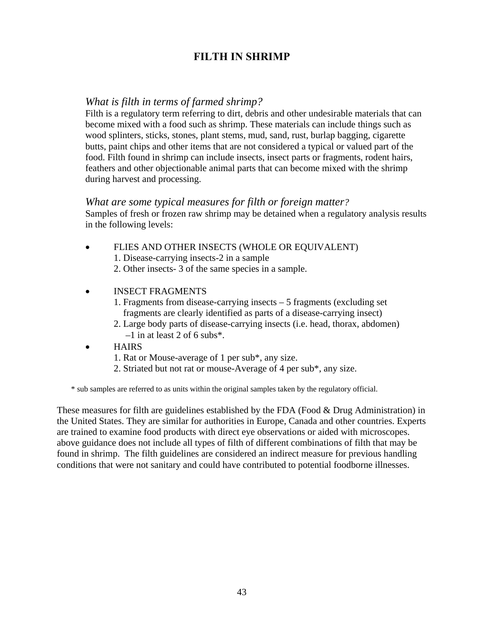# **FILTH IN SHRIMP**

## *What is filth in terms of farmed shrimp?*

Filth is a regulatory term referring to dirt, debris and other undesirable materials that can become mixed with a food such as shrimp. These materials can include things such as wood splinters, sticks, stones, plant stems, mud, sand, rust, burlap bagging, cigarette butts, paint chips and other items that are not considered a typical or valued part of the food. Filth found in shrimp can include insects, insect parts or fragments, rodent hairs, feathers and other objectionable animal parts that can become mixed with the shrimp during harvest and processing.

#### *What are some typical measures for filth or foreign matter?*

Samples of fresh or frozen raw shrimp may be detained when a regulatory analysis results in the following levels:

#### • FLIES AND OTHER INSECTS (WHOLE OR EQUIVALENT)

- 1. Disease-carrying insects-2 in a sample
- 2. Other insects- 3 of the same species in a sample.
- INSECT FRAGMENTS
	- 1. Fragments from disease-carrying insects 5 fragments (excluding set fragments are clearly identified as parts of a disease-carrying insect)
	- 2. Large body parts of disease-carrying insects (i.e. head, thorax, abdomen)  $-1$  in at least 2 of 6 subs<sup>\*</sup>.
- HAIRS

1. Rat or Mouse-average of 1 per sub\*, any size.

2. Striated but not rat or mouse-Average of 4 per sub\*, any size.

\* sub samples are referred to as units within the original samples taken by the regulatory official.

These measures for filth are guidelines established by the FDA (Food  $& Drug$  Administration) in the United States. They are similar for authorities in Europe, Canada and other countries. Experts are trained to examine food products with direct eye observations or aided with microscopes. above guidance does not include all types of filth of different combinations of filth that may be found in shrimp. The filth guidelines are considered an indirect measure for previous handling conditions that were not sanitary and could have contributed to potential foodborne illnesses.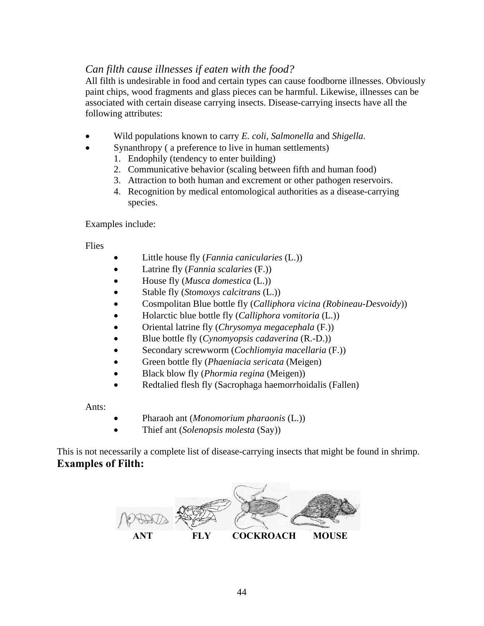## *Can filth cause illnesses if eaten with the food?*

All filth is undesirable in food and certain types can cause foodborne illnesses. Obviously paint chips, wood fragments and glass pieces can be harmful. Likewise, illnesses can be associated with certain disease carrying insects. Disease-carrying insects have all the following attributes:

- Wild populations known to carry *E. coli, Salmonella* and *Shigella*.
- Synanthropy (a preference to live in human settlements)
	- 1. Endophily (tendency to enter building)
	- 2. Communicative behavior (scaling between fifth and human food)
	- 3. Attraction to both human and excrement or other pathogen reservoirs.
	- 4. Recognition by medical entomological authorities as a disease-carrying species.

Examples include:

Flies

- Little house fly (*Fannia canicularies* (L.))
- Latrine fly (*Fannia scalaries* (F.))
- House fly (*Musca domestica* (L.))
- Stable fly (*Stomoxys calcitrans* (L.))
- Cosmpolitan Blue bottle fly (*Calliphora vicina (Robineau-Desvoidy*))
- Holarctic blue bottle fly (*Calliphora vomitoria* (L.))
- Oriental latrine fly (*Chrysomya megacephala* (F.))
- Blue bottle fly (*Cynomyopsis cadaverina* (R.-D.))
- Secondary screwworm (*Cochliomyia macellaria* (F.))
- Green bottle fly (*Phaeniacia sericata* (Meigen)
- Black blow fly (*Phormia regina* (Meigen))
- Redtalied flesh fly (Sacrophaga haemor*r*hoidalis (Fallen)

Ants:

- Pharaoh ant (*Monomorium pharaonis* (L.))
- Thief ant (*Solenopsis molesta* (Say))

This is not necessarily a complete list of disease-carrying insects that might be found in shrimp. **Examples of Filth:** 

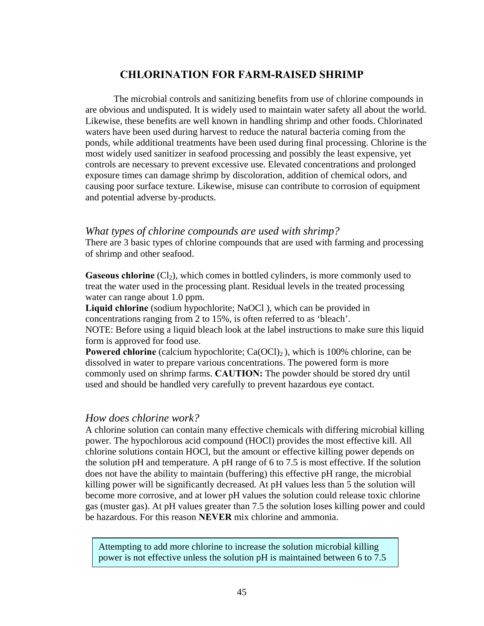# **CHLORINATION FOR FARM-RAISED SHRIMP**

The microbial controls and sanitizing benefits from use of chlorine compounds in are obvious and undisputed. It is widely used to maintain water safety all about the world. Likewise, these benefits are well known in handling shrimp and other foods. Chlorinated waters have been used during harvest to reduce the natural bacteria coming from the ponds, while additional treatments have been used during final processing. Chlorine is the most widely used sanitizer in seafood processing and possibly the least expensive, yet controls are necessary to prevent excessive use. Elevated concentrations and prolonged exposure times can damage shrimp by discoloration, addition of chemical odors, and causing poor surface texture. Likewise, misuse can contribute to corrosion of equipment and potential adverse by-products.

#### *What types of chlorine compounds are used with shrimp?*

There are 3 basic types of chlorine compounds that are used with farming and processing of shrimp and other seafood.

**Gaseous chlorine** (Cl<sub>2</sub>), which comes in bottled cylinders, is more commonly used to treat the water used in the processing plant. Residual levels in the treated processing water can range about 1.0 ppm.

**Liquid chlorine** (sodium hypochlorite; NaOCl ), which can be provided in concentrations ranging from 2 to 15%, is often referred to as 'bleach'.

NOTE: Before using a liquid bleach look at the label instructions to make sure this liquid form is approved for food use.

**Powered chlorine** (calcium hypochlorite;  $Ca(OCl)_2$ ), which is 100% chlorine, can be dissolved in water to prepare various concentrations. The powered form is more commonly used on shrimp farms. **CAUTION:** The powder should be stored dry until used and should be handled very carefully to prevent hazardous eye contact.

#### *How does chlorine work?*

A chlorine solution can contain many effective chemicals with differing microbial killing power. The hypochlorous acid compound (HOCl) provides the most effective kill. All chlorine solutions contain HOCl, but the amount or effective killing power depends on the solution pH and temperature. A pH range of 6 to 7.5 is most effective. If the solution does not have the ability to maintain (buffering) this effective pH range, the microbial killing power will be significantly decreased. At pH values less than 5 the solution will become more corrosive, and at lower pH values the solution could release toxic chlorine gas (muster gas). At pH values greater than 7.5 the solution loses killing power and could be hazardous. For this reason **NEVER** mix chlorine and ammonia.

Attempting to add more chlorine to increase the solution microbial killing power is not effective unless the solution pH is maintained between 6 to 7.5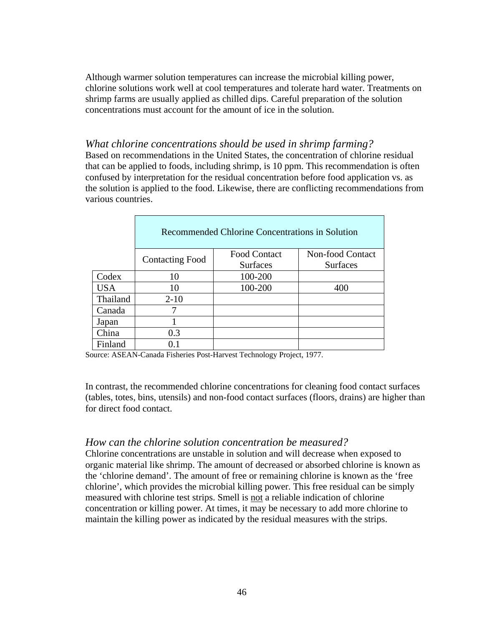Although warmer solution temperatures can increase the microbial killing power, chlorine solutions work well at cool temperatures and tolerate hard water. Treatments on shrimp farms are usually applied as chilled dips. Careful preparation of the solution concentrations must account for the amount of ice in the solution.

## *What chlorine concentrations should be used in shrimp farming?*

Based on recommendations in the United States, the concentration of chlorine residual that can be applied to foods, including shrimp, is 10 ppm. This recommendation is often confused by interpretation for the residual concentration before food application vs. as the solution is applied to the food. Likewise, there are conflicting recommendations from various countries.

|            |                        | Recommended Chlorine Concentrations in Solution |                  |
|------------|------------------------|-------------------------------------------------|------------------|
|            | <b>Contacting Food</b> | <b>Food Contact</b>                             | Non-food Contact |
|            |                        | <b>Surfaces</b>                                 | <b>Surfaces</b>  |
| Codex      | 10                     | 100-200                                         |                  |
| <b>USA</b> | 10                     | 100-200                                         | 400              |
| Thailand   | $2 - 10$               |                                                 |                  |
| Canada     | 7                      |                                                 |                  |
| Japan      |                        |                                                 |                  |
| China      | 0.3                    |                                                 |                  |
| Finland    |                        |                                                 |                  |

Source: ASEAN-Canada Fisheries Post-Harvest Technology Project, 1977.

In contrast, the recommended chlorine concentrations for cleaning food contact surfaces (tables, totes, bins, utensils) and non-food contact surfaces (floors, drains) are higher than for direct food contact.

## *How can the chlorine solution concentration be measured?*

Chlorine concentrations are unstable in solution and will decrease when exposed to organic material like shrimp. The amount of decreased or absorbed chlorine is known as the 'chlorine demand'. The amount of free or remaining chlorine is known as the 'free chlorine', which provides the microbial killing power. This free residual can be simply measured with chlorine test strips. Smell is not a reliable indication of chlorine concentration or killing power. At times, it may be necessary to add more chlorine to maintain the killing power as indicated by the residual measures with the strips.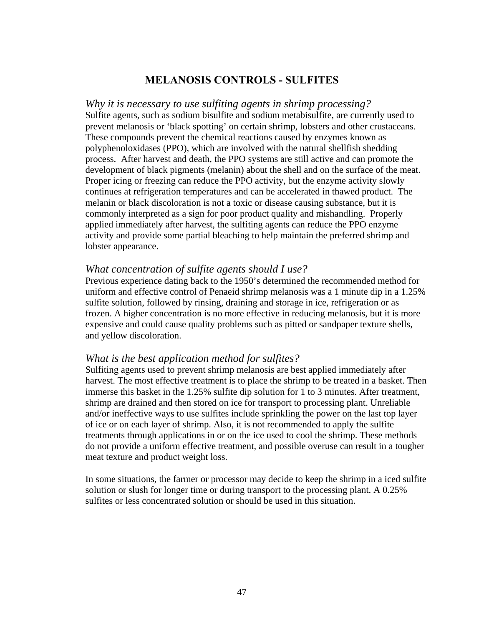## **MELANOSIS CONTROLS - SULFITES**

## *Why it is necessary to use sulfiting agents in shrimp processing?*

Sulfite agents, such as sodium bisulfite and sodium metabisulfite, are currently used to prevent melanosis or 'black spotting' on certain shrimp, lobsters and other crustaceans. These compounds prevent the chemical reactions caused by enzymes known as polyphenoloxidases (PPO), which are involved with the natural shellfish shedding process. After harvest and death, the PPO systems are still active and can promote the development of black pigments (melanin) about the shell and on the surface of the meat. Proper icing or freezing can reduce the PPO activity, but the enzyme activity slowly continues at refrigeration temperatures and can be accelerated in thawed product. The melanin or black discoloration is not a toxic or disease causing substance, but it is commonly interpreted as a sign for poor product quality and mishandling. Properly applied immediately after harvest, the sulfiting agents can reduce the PPO enzyme activity and provide some partial bleaching to help maintain the preferred shrimp and lobster appearance.

#### *What concentration of sulfite agents should I use?*

Previous experience dating back to the 1950's determined the recommended method for uniform and effective control of Penaeid shrimp melanosis was a 1 minute dip in a 1.25% sulfite solution, followed by rinsing, draining and storage in ice, refrigeration or as frozen. A higher concentration is no more effective in reducing melanosis, but it is more expensive and could cause quality problems such as pitted or sandpaper texture shells, and yellow discoloration.

#### *What is the best application method for sulfites?*

Sulfiting agents used to prevent shrimp melanosis are best applied immediately after harvest. The most effective treatment is to place the shrimp to be treated in a basket. Then immerse this basket in the 1.25% sulfite dip solution for 1 to 3 minutes. After treatment, shrimp are drained and then stored on ice for transport to processing plant. Unreliable and/or ineffective ways to use sulfites include sprinkling the power on the last top layer of ice or on each layer of shrimp. Also, it is not recommended to apply the sulfite treatments through applications in or on the ice used to cool the shrimp. These methods do not provide a uniform effective treatment, and possible overuse can result in a tougher meat texture and product weight loss.

In some situations, the farmer or processor may decide to keep the shrimp in a iced sulfite solution or slush for longer time or during transport to the processing plant. A 0.25% sulfites or less concentrated solution or should be used in this situation.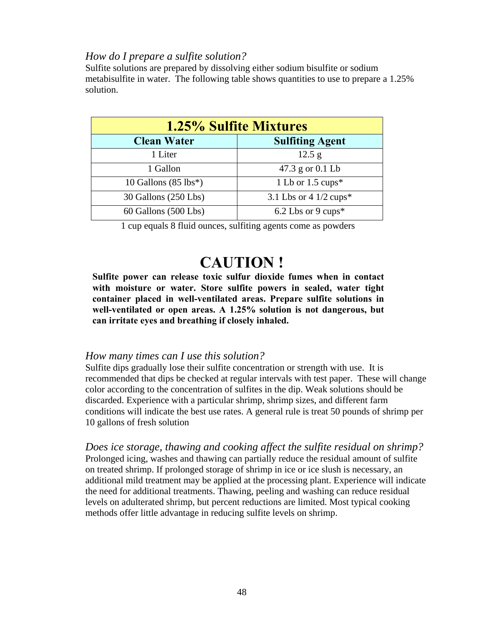#### *How do I prepare a sulfite solution?*

Sulfite solutions are prepared by dissolving either sodium bisulfite or sodium metabisulfite in water. The following table shows quantities to use to prepare a 1.25% solution.

| <b>1.25% Sulfite Mixtures</b>  |                                 |  |
|--------------------------------|---------------------------------|--|
| <b>Clean Water</b>             | <b>Sulfiting Agent</b>          |  |
| 1 Liter                        | $12.5$ g                        |  |
| 1 Gallon                       | 47.3 g or $0.1 Lb$              |  |
| 10 Gallons $(85 \text{ lbs*})$ | 1 Lb or $1.5 \text{ cups*}$     |  |
| 30 Gallons (250 Lbs)           | 3.1 Lbs or $4\frac{1}{2}$ cups* |  |
| 60 Gallons (500 Lbs)           | 6.2 Lbs or 9 cups*              |  |

1 cup equals 8 fluid ounces, sulfiting agents come as powders

# **CAUTION !**

**Sulfite power can release toxic sulfur dioxide fumes when in contact with moisture or water. Store sulfite powers in sealed, water tight container placed in well-ventilated areas. Prepare sulfite solutions in well-ventilated or open areas. A 1.25% solution is not dangerous, but can irritate eyes and breathing if closely inhaled.** 

## *How many times can I use this solution?*

Sulfite dips gradually lose their sulfite concentration or strength with use. It is recommended that dips be checked at regular intervals with test paper. These will change color according to the concentration of sulfites in the dip. Weak solutions should be discarded. Experience with a particular shrimp, shrimp sizes, and different farm conditions will indicate the best use rates. A general rule is treat 50 pounds of shrimp per 10 gallons of fresh solution

*Does ice storage, thawing and cooking affect the sulfite residual on shrimp?*  Prolonged icing, washes and thawing can partially reduce the residual amount of sulfite on treated shrimp. If prolonged storage of shrimp in ice or ice slush is necessary, an additional mild treatment may be applied at the processing plant. Experience will indicate the need for additional treatments. Thawing, peeling and washing can reduce residual levels on adulterated shrimp, but percent reductions are limited. Most typical cooking methods offer little advantage in reducing sulfite levels on shrimp.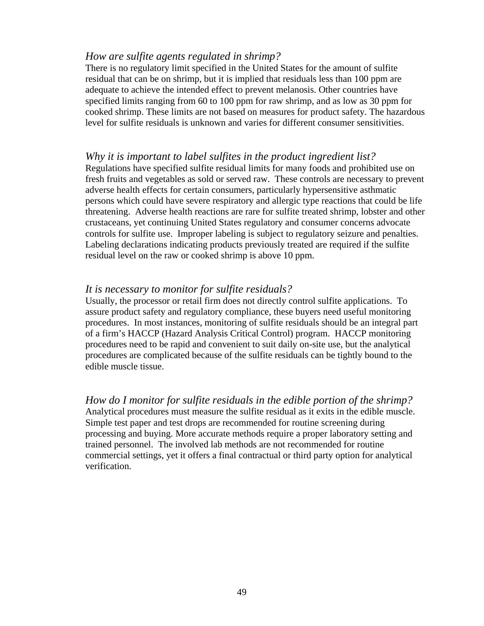#### *How are sulfite agents regulated in shrimp?*

There is no regulatory limit specified in the United States for the amount of sulfite residual that can be on shrimp, but it is implied that residuals less than 100 ppm are adequate to achieve the intended effect to prevent melanosis. Other countries have specified limits ranging from 60 to 100 ppm for raw shrimp, and as low as 30 ppm for cooked shrimp. These limits are not based on measures for product safety. The hazardous level for sulfite residuals is unknown and varies for different consumer sensitivities.

#### *Why it is important to label sulfites in the product ingredient list?*

Regulations have specified sulfite residual limits for many foods and prohibited use on fresh fruits and vegetables as sold or served raw. These controls are necessary to prevent adverse health effects for certain consumers, particularly hypersensitive asthmatic persons which could have severe respiratory and allergic type reactions that could be life threatening. Adverse health reactions are rare for sulfite treated shrimp, lobster and other crustaceans, yet continuing United States regulatory and consumer concerns advocate controls for sulfite use. Improper labeling is subject to regulatory seizure and penalties. Labeling declarations indicating products previously treated are required if the sulfite residual level on the raw or cooked shrimp is above 10 ppm.

#### *It is necessary to monitor for sulfite residuals?*

Usually, the processor or retail firm does not directly control sulfite applications. To assure product safety and regulatory compliance, these buyers need useful monitoring procedures. In most instances, monitoring of sulfite residuals should be an integral part of a firm's HACCP (Hazard Analysis Critical Control) program. HACCP monitoring procedures need to be rapid and convenient to suit daily on-site use, but the analytical procedures are complicated because of the sulfite residuals can be tightly bound to the edible muscle tissue.

*How do I monitor for sulfite residuals in the edible portion of the shrimp?*  Analytical procedures must measure the sulfite residual as it exits in the edible muscle. Simple test paper and test drops are recommended for routine screening during processing and buying. More accurate methods require a proper laboratory setting and trained personnel. The involved lab methods are not recommended for routine commercial settings, yet it offers a final contractual or third party option for analytical verification.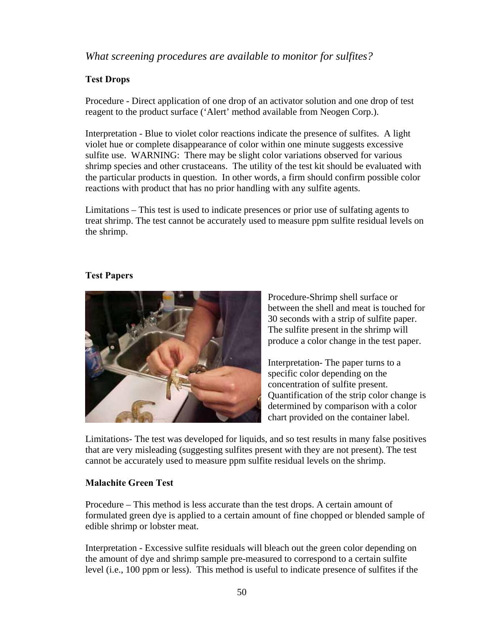## *What screening procedures are available to monitor for sulfites?*

## **Test Drops**

 Procedure - Direct application of one drop of an activator solution and one drop of test reagent to the product surface ('Alert' method available from Neogen Corp.).

 Interpretation - Blue to violet color reactions indicate the presence of sulfites. A light violet hue or complete disappearance of color within one minute suggests excessive sulfite use. WARNING: There may be slight color variations observed for various shrimp species and other crustaceans. The utility of the test kit should be evaluated with the particular products in question. In other words, a firm should confirm possible color reactions with product that has no prior handling with any sulfite agents.

Limitations – This test is used to indicate presences or prior use of sulfating agents to treat shrimp. The test cannot be accurately used to measure ppm sulfite residual levels on the shrimp.

## **Test Papers**



Procedure-Shrimp shell surface or between the shell and meat is touched for 30 seconds with a strip of sulfite paper. The sulfite present in the shrimp will produce a color change in the test paper.

Interpretation- The paper turns to a specific color depending on the concentration of sulfite present. Quantification of the strip color change is determined by comparison with a color chart provided on the container label.

Limitations- The test was developed for liquids, and so test results in many false positives that are very misleading (suggesting sulfites present with they are not present). The test cannot be accurately used to measure ppm sulfite residual levels on the shrimp.

#### **Malachite Green Test**

 Procedure – This method is less accurate than the test drops. A certain amount of formulated green dye is applied to a certain amount of fine chopped or blended sample of edible shrimp or lobster meat.

 Interpretation - Excessive sulfite residuals will bleach out the green color depending on the amount of dye and shrimp sample pre-measured to correspond to a certain sulfite level (i.e., 100 ppm or less). This method is useful to indicate presence of sulfites if the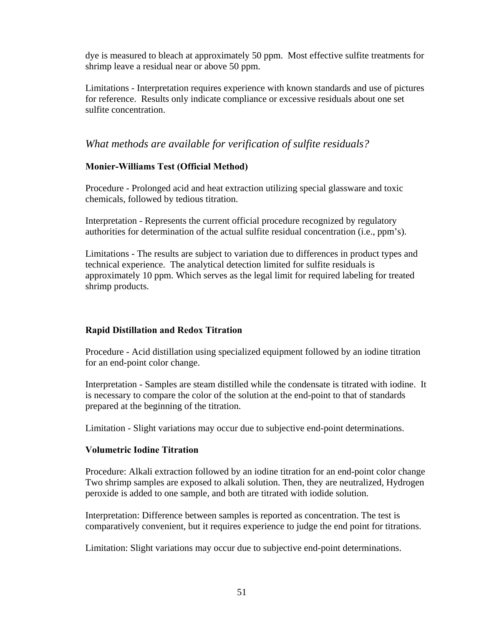dye is measured to bleach at approximately 50 ppm. Most effective sulfite treatments for shrimp leave a residual near or above 50 ppm.

 Limitations - Interpretation requires experience with known standards and use of pictures for reference. Results only indicate compliance or excessive residuals about one set sulfite concentration.

## *What methods are available for verification of sulfite residuals?*

#### **Monier-Williams Test (Official Method)**

 Procedure - Prolonged acid and heat extraction utilizing special glassware and toxic chemicals, followed by tedious titration.

 Interpretation - Represents the current official procedure recognized by regulatory authorities for determination of the actual sulfite residual concentration (i.e., ppm's).

Limitations - The results are subject to variation due to differences in product types and technical experience. The analytical detection limited for sulfite residuals is approximately 10 ppm. Which serves as the legal limit for required labeling for treated shrimp products.

#### **Rapid Distillation and Redox Titration**

 Procedure - Acid distillation using specialized equipment followed by an iodine titration for an end-point color change.

 Interpretation - Samples are steam distilled while the condensate is titrated with iodine. It is necessary to compare the color of the solution at the end-point to that of standards prepared at the beginning of the titration.

Limitation - Slight variations may occur due to subjective end-point determinations.

#### **Volumetric Iodine Titration**

Procedure: Alkali extraction followed by an iodine titration for an end-point color change Two shrimp samples are exposed to alkali solution. Then, they are neutralized, Hydrogen peroxide is added to one sample, and both are titrated with iodide solution.

Interpretation: Difference between samples is reported as concentration. The test is comparatively convenient, but it requires experience to judge the end point for titrations.

Limitation: Slight variations may occur due to subjective end-point determinations.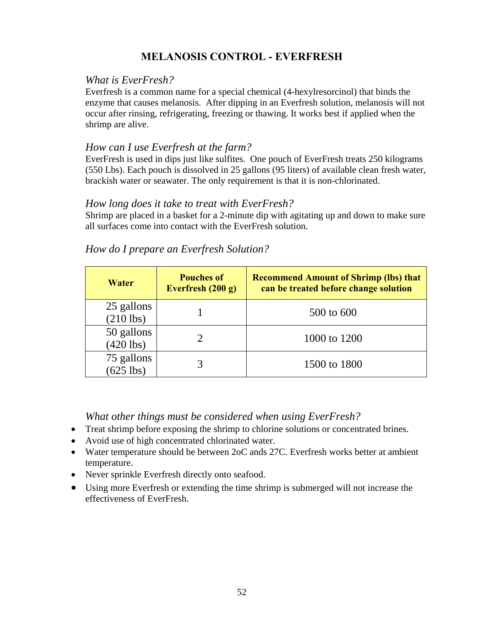# **MELANOSIS CONTROL - EVERFRESH**

## *What is EverFresh?*

Everfresh is a common name for a special chemical (4-hexylresorcinol) that binds the enzyme that causes melanosis. After dipping in an Everfresh solution, melanosis will not occur after rinsing, refrigerating, freezing or thawing. It works best if applied when the shrimp are alive.

## *How can I use Everfresh at the farm?*

EverFresh is used in dips just like sulfites. One pouch of EverFresh treats 250 kilograms (550 Lbs). Each pouch is dissolved in 25 gallons (95 liters) of available clean fresh water, brackish water or seawater. The only requirement is that it is non-chlorinated.

## *How long does it take to treat with EverFresh?*

Shrimp are placed in a basket for a 2-minute dip with agitating up and down to make sure all surfaces come into contact with the EverFresh solution.

| <b>Water</b>              | <b>Pouches of</b><br>Everfresh $(200 g)$ | <b>Recommend Amount of Shrimp (lbs) that</b><br>can be treated before change solution |
|---------------------------|------------------------------------------|---------------------------------------------------------------------------------------|
| 25 gallons<br>$(210$ lbs) |                                          | 500 to 600                                                                            |
| 50 gallons<br>$(420$ lbs) |                                          | 1000 to 1200                                                                          |
| 75 gallons<br>$(625$ lbs) |                                          | 1500 to 1800                                                                          |

## *How do I prepare an Everfresh Solution?*

*What other things must be considered when using EverFresh?* 

- Treat shrimp before exposing the shrimp to chlorine solutions or concentrated brines.
- Avoid use of high concentrated chlorinated water.
- Water temperature should be between 2oC ands 27C. Everfresh works better at ambient temperature.
- Never sprinkle Everfresh directly onto seafood.
- Using more Everfresh or extending the time shrimp is submerged will not increase the effectiveness of EverFresh.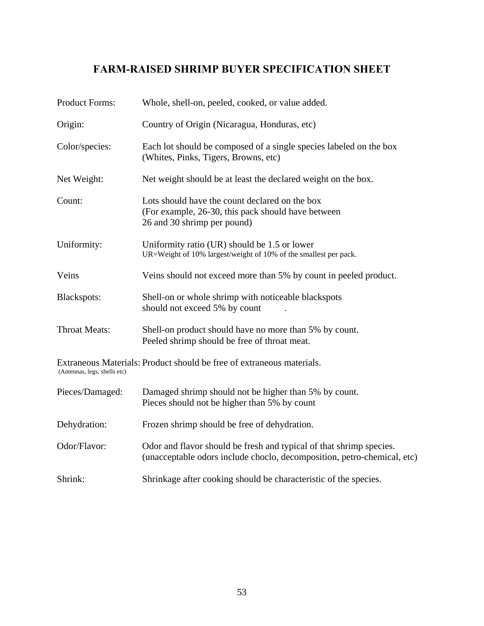# **FARM-RAISED SHRIMP BUYER SPECIFICATION SHEET**

| <b>Product Forms:</b>        | Whole, shell-on, peeled, cooked, or value added.                                                                                               |
|------------------------------|------------------------------------------------------------------------------------------------------------------------------------------------|
| Origin:                      | Country of Origin (Nicaragua, Honduras, etc)                                                                                                   |
| Color/species:               | Each lot should be composed of a single species labeled on the box<br>(Whites, Pinks, Tigers, Browns, etc)                                     |
| Net Weight:                  | Net weight should be at least the declared weight on the box.                                                                                  |
| Count:                       | Lots should have the count declared on the box<br>(For example, 26-30, this pack should have between<br>26 and 30 shrimp per pound)            |
| Uniformity:                  | Uniformity ratio (UR) should be 1.5 or lower<br>UR=Weight of 10% largest/weight of 10% of the smallest per pack.                               |
| Veins                        | Veins should not exceed more than 5% by count in peeled product.                                                                               |
| Blackspots:                  | Shell-on or whole shrimp with noticeable blackspots<br>should not exceed 5% by count                                                           |
| <b>Throat Meats:</b>         | Shell-on product should have no more than 5% by count.<br>Peeled shrimp should be free of throat meat.                                         |
| (Antennas, legs, shells etc) | Extraneous Materials: Product should be free of extraneous materials.                                                                          |
| Pieces/Damaged:              | Damaged shrimp should not be higher than 5% by count.<br>Pieces should not be higher than 5% by count                                          |
| Dehydration:                 | Frozen shrimp should be free of dehydration.                                                                                                   |
| Odor/Flavor:                 | Odor and flavor should be fresh and typical of that shrimp species.<br>(unacceptable odors include choclo, decomposition, petro-chemical, etc) |
| Shrink:                      | Shrinkage after cooking should be characteristic of the species.                                                                               |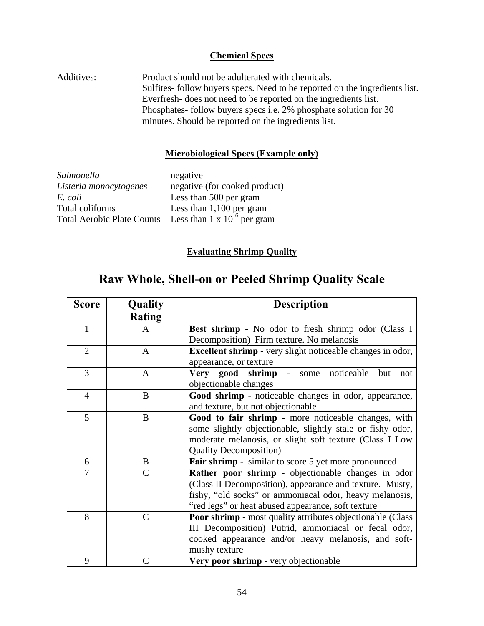#### **Chemical Specs**

Additives: Product should not be adulterated with chemicals. Sulfites- follow buyers specs. Need to be reported on the ingredients list. Everfresh- does not need to be reported on the ingredients list. Phosphates- follow buyers specs i.e. 2% phosphate solution for 30 minutes. Should be reported on the ingredients list.

#### **Microbiological Specs (Example only)**

| Salmonella                        | negative                      |
|-----------------------------------|-------------------------------|
| Listeria monocytogenes            | negative (for cooked product) |
| E. coli                           | Less than 500 per gram        |
| Total coliforms                   | Less than $1,100$ per gram    |
| <b>Total Aerobic Plate Counts</b> | Less than 1 x $106$ per gram  |

#### **Evaluating Shrimp Quality**

# **Raw Whole, Shell-on or Peeled Shrimp Quality Scale**

| <b>Score</b>   | Quality      | <b>Description</b>                                                           |
|----------------|--------------|------------------------------------------------------------------------------|
|                | Rating       |                                                                              |
| $\mathbf{1}$   | A            | <b>Best shrimp</b> - No odor to fresh shrimp odor (Class I                   |
|                |              | Decomposition) Firm texture. No melanosis                                    |
| $\overline{2}$ | A            | <b>Excellent shrimp</b> - very slight noticeable changes in odor,            |
|                |              | appearance, or texture                                                       |
| 3              | A            | Very good shrimp - some<br>noticeable<br>but<br>not<br>objectionable changes |
| $\overline{4}$ | B            | Good shrimp - noticeable changes in odor, appearance,                        |
|                |              | and texture, but not objectionable                                           |
| 5              | B            | Good to fair shrimp - more noticeable changes, with                          |
|                |              | some slightly objectionable, slightly stale or fishy odor,                   |
|                |              | moderate melanosis, or slight soft texture (Class I Low                      |
|                |              | <b>Quality Decomposition</b> )                                               |
| 6              | B            | Fair shrimp - similar to score 5 yet more pronounced                         |
| $\overline{7}$ | $\mathsf{C}$ | Rather poor shrimp - objectionable changes in odor                           |
|                |              | (Class II Decomposition), appearance and texture. Musty,                     |
|                |              | fishy, "old socks" or ammoniacal odor, heavy melanosis,                      |
|                |              | "red legs" or heat abused appearance, soft texture                           |
| 8              | C            | <b>Poor shrimp</b> - most quality attributes objectionable (Class            |
|                |              | III Decomposition) Putrid, ammoniacal or fecal odor,                         |
|                |              | cooked appearance and/or heavy melanosis, and soft-                          |
|                |              | mushy texture                                                                |
| 9              |              | Very poor shrimp - very objectionable                                        |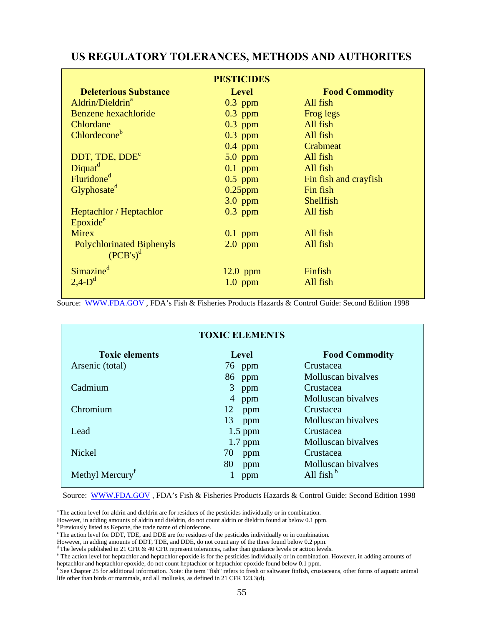|                                  | <b>PESTICIDES</b> |                       |
|----------------------------------|-------------------|-----------------------|
| <b>Deleterious Substance</b>     | <b>Level</b>      | <b>Food Commodity</b> |
| Aldrin/Dieldrin <sup>a</sup>     | $0.3$ ppm         | All fish              |
| Benzene hexachloride             | $0.3$ ppm         | Frog legs             |
| Chlordane                        | $0.3$ ppm         | All fish              |
| Chlordecone <sup>b</sup>         | $0.3$ ppm         | All fish              |
|                                  | $0.4$ ppm         | Crabmeat              |
| DDT, TDE, DDE <sup>c</sup>       | $5.0$ ppm         | All fish              |
| Diquat <sup>d</sup>              | $0.1$ ppm         | All fish              |
| Fluridone <sup>d</sup>           | $0.5$ ppm         | Fin fish and crayfish |
| Glyphosate <sup>d</sup>          | $0.25$ ppm        | Fin fish              |
|                                  | $3.0$ ppm         | Shellfish             |
| Heptachlor / Heptachlor          | $0.3$ ppm         | All fish              |
| Epoxide <sup>e</sup>             |                   |                       |
| <b>Mirex</b>                     | $0.1$ ppm         | All fish              |
| <b>Polychlorinated Biphenyls</b> | $2.0$ ppm         | All fish              |
| $(PCB's)^d$                      |                   |                       |
| Simazine <sup>d</sup>            | $12.0$ ppm        | Finfish               |
| $2,4-Dd$                         | $1.0$ ppm         | All fish              |
|                                  |                   |                       |

## **US REGULATORY TOLERANCES, METHODS AND AUTHORITES**

Source: WWW.FDA.GOV , FDA's Fish & Fisheries Products Hazards & Control Guide: Second Edition 1998

| <b>TOXIC ELEMENTS</b>       |           |                        |  |
|-----------------------------|-----------|------------------------|--|
| <b>Toxic elements</b>       | Level     | <b>Food Commodity</b>  |  |
| Arsenic (total)             | 76 ppm    | Crustacea              |  |
|                             | 86 ppm    | Molluscan bivalves     |  |
| Cadmium                     | 3 ppm     | Crustacea              |  |
|                             | 4<br>ppm  | Molluscan bivalves     |  |
| Chromium                    | 12<br>ppm | Crustacea              |  |
|                             | 13<br>ppm | Molluscan bivalves     |  |
| Lead                        | $1.5$ ppm | Crustacea              |  |
|                             | $1.7$ ppm | Molluscan bivalves     |  |
| Nickel                      | 70<br>ppm | Crustacea              |  |
|                             | 80<br>ppm | Molluscan bivalves     |  |
| Methyl Mercury <sup>f</sup> | ppm       | All fish $\frac{b}{b}$ |  |

Source: WWW.FDA.GOV , FDA's Fish & Fisheries Products Hazards & Control Guide: Second Edition 1998

<sup>&</sup>lt;sup>a</sup> The action level for aldrin and dieldrin are for residues of the pesticides individually or in combination.

However, in adding amounts of aldrin and dieldrin, do not count aldrin or dieldrin found at below 0.1 ppm.<br><sup>b</sup> Previously listed as Kepone, the trade name of chlordecone.<br><sup>c</sup> The action level for DDT, TDE, and DDE are for

However, in adding amounts of DDT, TDE, and DDE, do not count any of the three found below 0.2 ppm.<br>  $\textdegree$ <sup>d</sup> The levels published in 21 CFR & 40 CFR represent tolerances, rather than guidance levels or action levels.<br>  $\$ 

<sup>&</sup>lt;sup>f</sup> See Chapter 25 for additional information. Note: the term "fish" refers to fresh or saltwater finfish, crustaceans, other forms of aquatic animal life other than birds or mammals, and all mollusks, as defined in 21 CFR 123.3(d).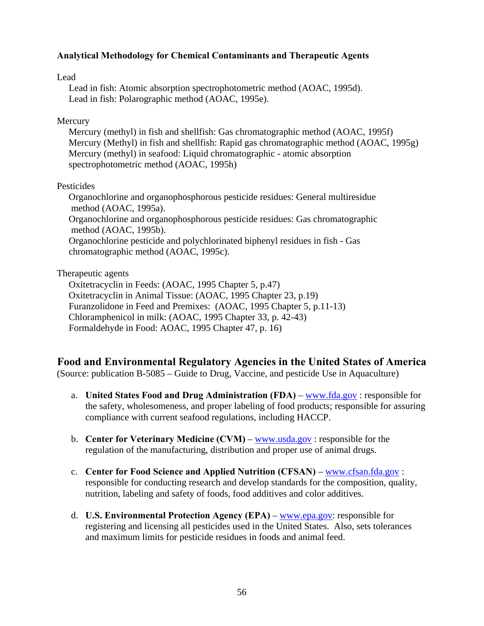#### **Analytical Methodology for Chemical Contaminants and Therapeutic Agents**

Lead

 Lead in fish: Atomic absorption spectrophotometric method (AOAC, 1995d). Lead in fish: Polarographic method (AOAC, 1995e).

**Mercury** 

 Mercury (methyl) in fish and shellfish: Gas chromatographic method (AOAC, 1995f) Mercury (Methyl) in fish and shellfish: Rapid gas chromatographic method (AOAC, 1995g) Mercury (methyl) in seafood: Liquid chromatographic - atomic absorption spectrophotometric method (AOAC, 1995h)

Pesticides

 Organochlorine and organophosphorous pesticide residues: General multiresidue method (AOAC, 1995a).

 Organochlorine and organophosphorous pesticide residues: Gas chromatographic method (AOAC, 1995b).

 Organochlorine pesticide and polychlorinated biphenyl residues in fish - Gas chromatographic method (AOAC, 1995c).

Therapeutic agents

 Oxitetracyclin in Feeds: (AOAC, 1995 Chapter 5, p.47) Oxitetracyclin in Animal Tissue: (AOAC, 1995 Chapter 23, p.19) Furanzolidone in Feed and Premixes: (AOAC, 1995 Chapter 5, p.11-13) Chloramphenicol in milk: (AOAC, 1995 Chapter 33, p. 42-43) Formaldehyde in Food: AOAC, 1995 Chapter 47, p. 16)

**Food and Environmental Regulatory Agencies in the United States of America** 

(Source: publication B-5085 – Guide to Drug, Vaccine, and pesticide Use in Aquaculture)

- a. **United States Food and Drug Administration (FDA)** www.fda.gov : responsible for the safety, wholesomeness, and proper labeling of food products; responsible for assuring compliance with current seafood regulations, including HACCP.
- b. **Center for Veterinary Medicine (CVM)** www.usda.gov : responsible for the regulation of the manufacturing, distribution and proper use of animal drugs.
- c. **Center for Food Science and Applied Nutrition (CFSAN)** www.cfsan.fda.gov : responsible for conducting research and develop standards for the composition, quality, nutrition, labeling and safety of foods, food additives and color additives.
- d. **U.S. Environmental Protection Agency (EPA)** www.epa.gov: responsible for registering and licensing all pesticides used in the United States. Also, sets tolerances and maximum limits for pesticide residues in foods and animal feed.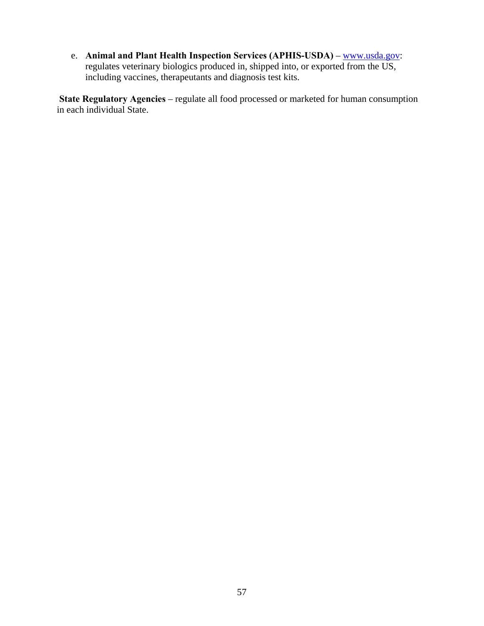e. **Animal and Plant Health Inspection Services (APHIS-USDA)** – www.usda.gov: regulates veterinary biologics produced in, shipped into, or exported from the US, including vaccines, therapeutants and diagnosis test kits.

**State Regulatory Agencies** – regulate all food processed or marketed for human consumption in each individual State.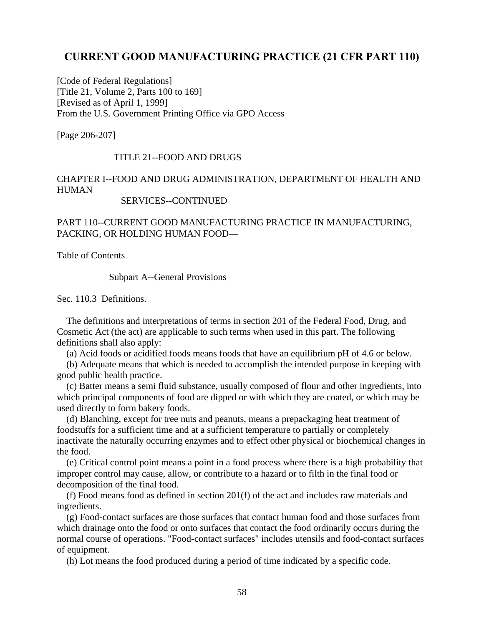# **CURRENT GOOD MANUFACTURING PRACTICE (21 CFR PART 110)**

[Code of Federal Regulations] [Title 21, Volume 2, Parts 100 to 169] [Revised as of April 1, 1999] From the U.S. Government Printing Office via GPO Access

[Page 206-207]

#### TITLE 21--FOOD AND DRUGS

## CHAPTER I--FOOD AND DRUG ADMINISTRATION, DEPARTMENT OF HEALTH AND HUMAN

#### SERVICES--CONTINUED

#### PART 110--CURRENT GOOD MANUFACTURING PRACTICE IN MANUFACTURING, PACKING, OR HOLDING HUMAN FOOD—

Table of Contents

Subpart A--General Provisions

Sec. 110.3 Definitions.

 The definitions and interpretations of terms in section 201 of the Federal Food, Drug, and Cosmetic Act (the act) are applicable to such terms when used in this part. The following definitions shall also apply:

(a) Acid foods or acidified foods means foods that have an equilibrium pH of 4.6 or below.

 (b) Adequate means that which is needed to accomplish the intended purpose in keeping with good public health practice.

 (c) Batter means a semi fluid substance, usually composed of flour and other ingredients, into which principal components of food are dipped or with which they are coated, or which may be used directly to form bakery foods.

 (d) Blanching, except for tree nuts and peanuts, means a prepackaging heat treatment of foodstuffs for a sufficient time and at a sufficient temperature to partially or completely inactivate the naturally occurring enzymes and to effect other physical or biochemical changes in the food.

 (e) Critical control point means a point in a food process where there is a high probability that improper control may cause, allow, or contribute to a hazard or to filth in the final food or decomposition of the final food.

 (f) Food means food as defined in section 201(f) of the act and includes raw materials and ingredients.

 (g) Food-contact surfaces are those surfaces that contact human food and those surfaces from which drainage onto the food or onto surfaces that contact the food ordinarily occurs during the normal course of operations. "Food-contact surfaces" includes utensils and food-contact surfaces of equipment.

(h) Lot means the food produced during a period of time indicated by a specific code.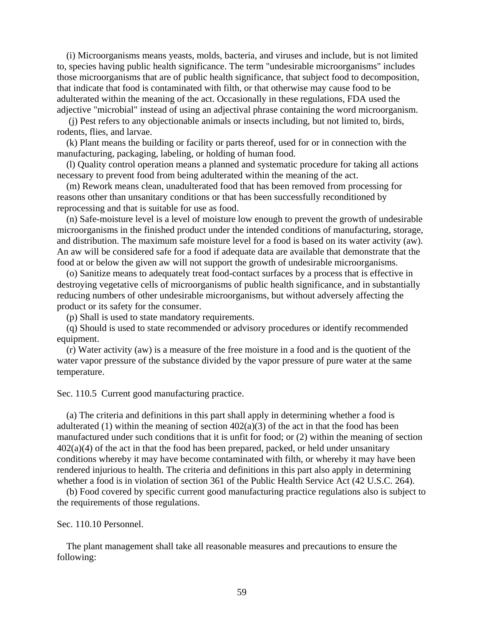(i) Microorganisms means yeasts, molds, bacteria, and viruses and include, but is not limited to, species having public health significance. The term "undesirable microorganisms" includes those microorganisms that are of public health significance, that subject food to decomposition, that indicate that food is contaminated with filth, or that otherwise may cause food to be adulterated within the meaning of the act. Occasionally in these regulations, FDA used the adjective "microbial" instead of using an adjectival phrase containing the word microorganism.

 (j) Pest refers to any objectionable animals or insects including, but not limited to, birds, rodents, flies, and larvae.

 (k) Plant means the building or facility or parts thereof, used for or in connection with the manufacturing, packaging, labeling, or holding of human food.

 (l) Quality control operation means a planned and systematic procedure for taking all actions necessary to prevent food from being adulterated within the meaning of the act.

 (m) Rework means clean, unadulterated food that has been removed from processing for reasons other than unsanitary conditions or that has been successfully reconditioned by reprocessing and that is suitable for use as food.

 (n) Safe-moisture level is a level of moisture low enough to prevent the growth of undesirable microorganisms in the finished product under the intended conditions of manufacturing, storage, and distribution. The maximum safe moisture level for a food is based on its water activity (aw). An aw will be considered safe for a food if adequate data are available that demonstrate that the food at or below the given aw will not support the growth of undesirable microorganisms.

 (o) Sanitize means to adequately treat food-contact surfaces by a process that is effective in destroying vegetative cells of microorganisms of public health significance, and in substantially reducing numbers of other undesirable microorganisms, but without adversely affecting the product or its safety for the consumer.

(p) Shall is used to state mandatory requirements.

 (q) Should is used to state recommended or advisory procedures or identify recommended equipment.

 (r) Water activity (aw) is a measure of the free moisture in a food and is the quotient of the water vapor pressure of the substance divided by the vapor pressure of pure water at the same temperature.

Sec. 110.5 Current good manufacturing practice.

 (a) The criteria and definitions in this part shall apply in determining whether a food is adulterated (1) within the meaning of section  $402(a)(3)$  of the act in that the food has been manufactured under such conditions that it is unfit for food; or (2) within the meaning of section  $402(a)(4)$  of the act in that the food has been prepared, packed, or held under unsanitary conditions whereby it may have become contaminated with filth, or whereby it may have been rendered injurious to health. The criteria and definitions in this part also apply in determining whether a food is in violation of section 361 of the Public Health Service Act (42 U.S.C. 264).

 (b) Food covered by specific current good manufacturing practice regulations also is subject to the requirements of those regulations.

Sec. 110.10 Personnel.

 The plant management shall take all reasonable measures and precautions to ensure the following: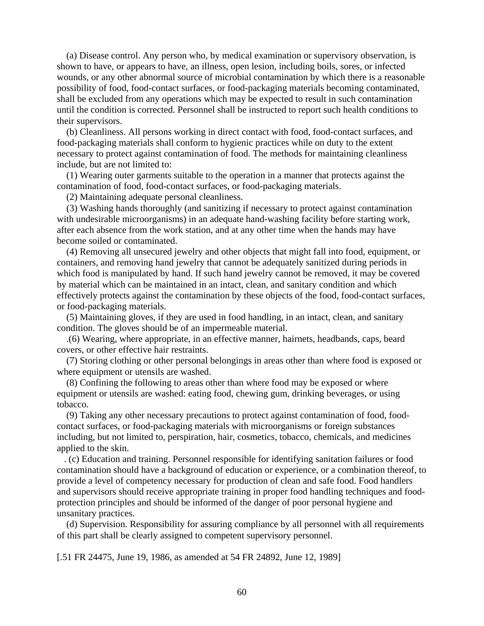(a) Disease control. Any person who, by medical examination or supervisory observation, is shown to have, or appears to have, an illness, open lesion, including boils, sores, or infected wounds, or any other abnormal source of microbial contamination by which there is a reasonable possibility of food, food-contact surfaces, or food-packaging materials becoming contaminated, shall be excluded from any operations which may be expected to result in such contamination until the condition is corrected. Personnel shall be instructed to report such health conditions to their supervisors.

 (b) Cleanliness. All persons working in direct contact with food, food-contact surfaces, and food-packaging materials shall conform to hygienic practices while on duty to the extent necessary to protect against contamination of food. The methods for maintaining cleanliness include, but are not limited to:

 (1) Wearing outer garments suitable to the operation in a manner that protects against the contamination of food, food-contact surfaces, or food-packaging materials.

(2) Maintaining adequate personal cleanliness.

 (3) Washing hands thoroughly (and sanitizing if necessary to protect against contamination with undesirable microorganisms) in an adequate hand-washing facility before starting work, after each absence from the work station, and at any other time when the hands may have become soiled or contaminated.

 (4) Removing all unsecured jewelry and other objects that might fall into food, equipment, or containers, and removing hand jewelry that cannot be adequately sanitized during periods in which food is manipulated by hand. If such hand jewelry cannot be removed, it may be covered by material which can be maintained in an intact, clean, and sanitary condition and which effectively protects against the contamination by these objects of the food, food-contact surfaces, or food-packaging materials.

 (5) Maintaining gloves, if they are used in food handling, in an intact, clean, and sanitary condition. The gloves should be of an impermeable material.

 .(6) Wearing, where appropriate, in an effective manner, hairnets, headbands, caps, beard covers, or other effective hair restraints.

 (7) Storing clothing or other personal belongings in areas other than where food is exposed or where equipment or utensils are washed.

 (8) Confining the following to areas other than where food may be exposed or where equipment or utensils are washed: eating food, chewing gum, drinking beverages, or using tobacco.

 (9) Taking any other necessary precautions to protect against contamination of food, foodcontact surfaces, or food-packaging materials with microorganisms or foreign substances including, but not limited to, perspiration, hair, cosmetics, tobacco, chemicals, and medicines applied to the skin.

 . (c) Education and training. Personnel responsible for identifying sanitation failures or food contamination should have a background of education or experience, or a combination thereof, to provide a level of competency necessary for production of clean and safe food. Food handlers and supervisors should receive appropriate training in proper food handling techniques and foodprotection principles and should be informed of the danger of poor personal hygiene and unsanitary practices.

 (d) Supervision. Responsibility for assuring compliance by all personnel with all requirements of this part shall be clearly assigned to competent supervisory personnel.

[.51 FR 24475, June 19, 1986, as amended at 54 FR 24892, June 12, 1989]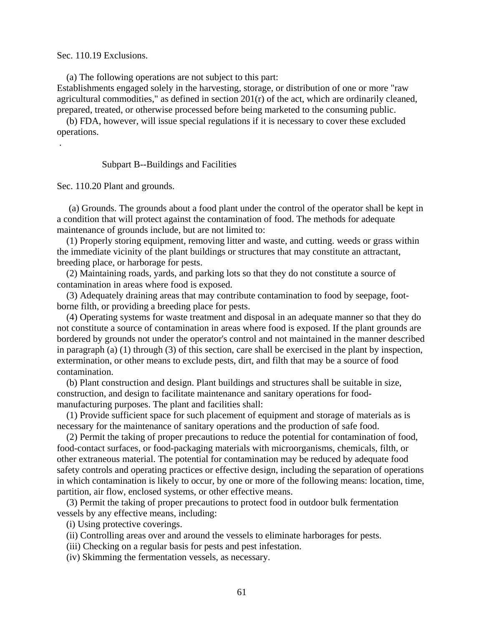Sec. 110.19 Exclusions.

.

(a) The following operations are not subject to this part:

Establishments engaged solely in the harvesting, storage, or distribution of one or more "raw agricultural commodities," as defined in section 201(r) of the act, which are ordinarily cleaned, prepared, treated, or otherwise processed before being marketed to the consuming public.

 (b) FDA, however, will issue special regulations if it is necessary to cover these excluded operations.

#### Subpart B--Buildings and Facilities

Sec. 110.20 Plant and grounds.

 (a) Grounds. The grounds about a food plant under the control of the operator shall be kept in a condition that will protect against the contamination of food. The methods for adequate maintenance of grounds include, but are not limited to:

 (1) Properly storing equipment, removing litter and waste, and cutting. weeds or grass within the immediate vicinity of the plant buildings or structures that may constitute an attractant, breeding place, or harborage for pests.

 (2) Maintaining roads, yards, and parking lots so that they do not constitute a source of contamination in areas where food is exposed.

 (3) Adequately draining areas that may contribute contamination to food by seepage, footborne filth, or providing a breeding place for pests.

 (4) Operating systems for waste treatment and disposal in an adequate manner so that they do not constitute a source of contamination in areas where food is exposed. If the plant grounds are bordered by grounds not under the operator's control and not maintained in the manner described in paragraph (a) (1) through (3) of this section, care shall be exercised in the plant by inspection, extermination, or other means to exclude pests, dirt, and filth that may be a source of food contamination.

 (b) Plant construction and design. Plant buildings and structures shall be suitable in size, construction, and design to facilitate maintenance and sanitary operations for foodmanufacturing purposes. The plant and facilities shall:

 (1) Provide sufficient space for such placement of equipment and storage of materials as is necessary for the maintenance of sanitary operations and the production of safe food.

 (2) Permit the taking of proper precautions to reduce the potential for contamination of food, food-contact surfaces, or food-packaging materials with microorganisms, chemicals, filth, or other extraneous material. The potential for contamination may be reduced by adequate food safety controls and operating practices or effective design, including the separation of operations in which contamination is likely to occur, by one or more of the following means: location, time, partition, air flow, enclosed systems, or other effective means.

 (3) Permit the taking of proper precautions to protect food in outdoor bulk fermentation vessels by any effective means, including:

(i) Using protective coverings.

(ii) Controlling areas over and around the vessels to eliminate harborages for pests.

- (iii) Checking on a regular basis for pests and pest infestation.
- (iv) Skimming the fermentation vessels, as necessary.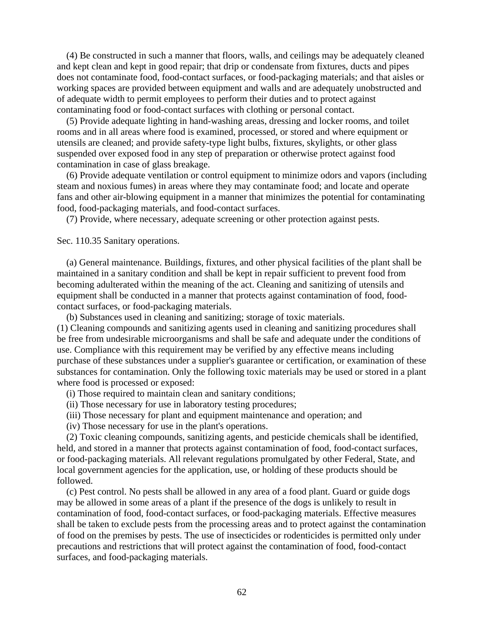(4) Be constructed in such a manner that floors, walls, and ceilings may be adequately cleaned and kept clean and kept in good repair; that drip or condensate from fixtures, ducts and pipes does not contaminate food, food-contact surfaces, or food-packaging materials; and that aisles or working spaces are provided between equipment and walls and are adequately unobstructed and of adequate width to permit employees to perform their duties and to protect against contaminating food or food-contact surfaces with clothing or personal contact.

 (5) Provide adequate lighting in hand-washing areas, dressing and locker rooms, and toilet rooms and in all areas where food is examined, processed, or stored and where equipment or utensils are cleaned; and provide safety-type light bulbs, fixtures, skylights, or other glass suspended over exposed food in any step of preparation or otherwise protect against food contamination in case of glass breakage.

 (6) Provide adequate ventilation or control equipment to minimize odors and vapors (including steam and noxious fumes) in areas where they may contaminate food; and locate and operate fans and other air-blowing equipment in a manner that minimizes the potential for contaminating food, food-packaging materials, and food-contact surfaces.

(7) Provide, where necessary, adequate screening or other protection against pests.

Sec. 110.35 Sanitary operations.

 (a) General maintenance. Buildings, fixtures, and other physical facilities of the plant shall be maintained in a sanitary condition and shall be kept in repair sufficient to prevent food from becoming adulterated within the meaning of the act. Cleaning and sanitizing of utensils and equipment shall be conducted in a manner that protects against contamination of food, foodcontact surfaces, or food-packaging materials.

(b) Substances used in cleaning and sanitizing; storage of toxic materials.

(1) Cleaning compounds and sanitizing agents used in cleaning and sanitizing procedures shall be free from undesirable microorganisms and shall be safe and adequate under the conditions of use. Compliance with this requirement may be verified by any effective means including purchase of these substances under a supplier's guarantee or certification, or examination of these substances for contamination. Only the following toxic materials may be used or stored in a plant where food is processed or exposed:

(i) Those required to maintain clean and sanitary conditions;

- (ii) Those necessary for use in laboratory testing procedures;
- (iii) Those necessary for plant and equipment maintenance and operation; and
- (iv) Those necessary for use in the plant's operations.

 (2) Toxic cleaning compounds, sanitizing agents, and pesticide chemicals shall be identified, held, and stored in a manner that protects against contamination of food, food-contact surfaces, or food-packaging materials. All relevant regulations promulgated by other Federal, State, and local government agencies for the application, use, or holding of these products should be followed.

 (c) Pest control. No pests shall be allowed in any area of a food plant. Guard or guide dogs may be allowed in some areas of a plant if the presence of the dogs is unlikely to result in contamination of food, food-contact surfaces, or food-packaging materials. Effective measures shall be taken to exclude pests from the processing areas and to protect against the contamination of food on the premises by pests. The use of insecticides or rodenticides is permitted only under precautions and restrictions that will protect against the contamination of food, food-contact surfaces, and food-packaging materials.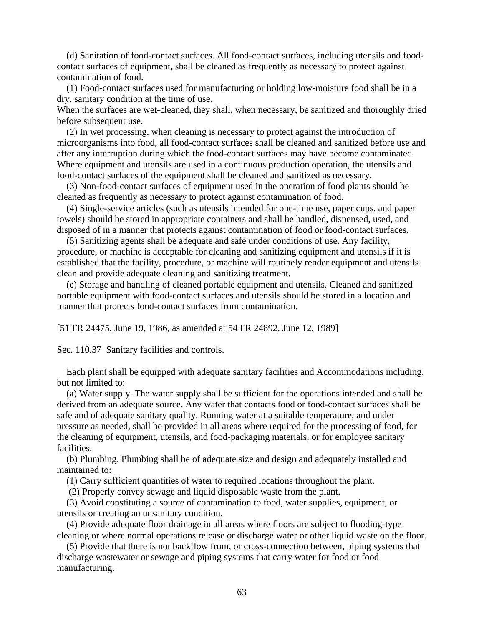(d) Sanitation of food-contact surfaces. All food-contact surfaces, including utensils and foodcontact surfaces of equipment, shall be cleaned as frequently as necessary to protect against contamination of food.

 (1) Food-contact surfaces used for manufacturing or holding low-moisture food shall be in a dry, sanitary condition at the time of use.

When the surfaces are wet-cleaned, they shall, when necessary, be sanitized and thoroughly dried before subsequent use.

 (2) In wet processing, when cleaning is necessary to protect against the introduction of microorganisms into food, all food-contact surfaces shall be cleaned and sanitized before use and after any interruption during which the food-contact surfaces may have become contaminated. Where equipment and utensils are used in a continuous production operation, the utensils and food-contact surfaces of the equipment shall be cleaned and sanitized as necessary.

 (3) Non-food-contact surfaces of equipment used in the operation of food plants should be cleaned as frequently as necessary to protect against contamination of food.

 (4) Single-service articles (such as utensils intended for one-time use, paper cups, and paper towels) should be stored in appropriate containers and shall be handled, dispensed, used, and disposed of in a manner that protects against contamination of food or food-contact surfaces.

 (5) Sanitizing agents shall be adequate and safe under conditions of use. Any facility, procedure, or machine is acceptable for cleaning and sanitizing equipment and utensils if it is established that the facility, procedure, or machine will routinely render equipment and utensils clean and provide adequate cleaning and sanitizing treatment.

 (e) Storage and handling of cleaned portable equipment and utensils. Cleaned and sanitized portable equipment with food-contact surfaces and utensils should be stored in a location and manner that protects food-contact surfaces from contamination.

[51 FR 24475, June 19, 1986, as amended at 54 FR 24892, June 12, 1989]

Sec. 110.37 Sanitary facilities and controls.

 Each plant shall be equipped with adequate sanitary facilities and Accommodations including, but not limited to:

 (a) Water supply. The water supply shall be sufficient for the operations intended and shall be derived from an adequate source. Any water that contacts food or food-contact surfaces shall be safe and of adequate sanitary quality. Running water at a suitable temperature, and under pressure as needed, shall be provided in all areas where required for the processing of food, for the cleaning of equipment, utensils, and food-packaging materials, or for employee sanitary facilities.

 (b) Plumbing. Plumbing shall be of adequate size and design and adequately installed and maintained to:

(1) Carry sufficient quantities of water to required locations throughout the plant.

(2) Properly convey sewage and liquid disposable waste from the plant.

 (3) Avoid constituting a source of contamination to food, water supplies, equipment, or utensils or creating an unsanitary condition.

 (4) Provide adequate floor drainage in all areas where floors are subject to flooding-type cleaning or where normal operations release or discharge water or other liquid waste on the floor.

 (5) Provide that there is not backflow from, or cross-connection between, piping systems that discharge wastewater or sewage and piping systems that carry water for food or food manufacturing.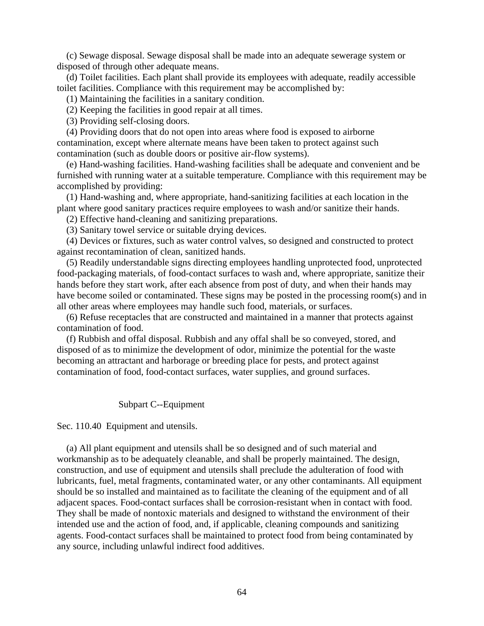(c) Sewage disposal. Sewage disposal shall be made into an adequate sewerage system or disposed of through other adequate means.

 (d) Toilet facilities. Each plant shall provide its employees with adequate, readily accessible toilet facilities. Compliance with this requirement may be accomplished by:

(1) Maintaining the facilities in a sanitary condition.

(2) Keeping the facilities in good repair at all times.

(3) Providing self-closing doors.

 (4) Providing doors that do not open into areas where food is exposed to airborne contamination, except where alternate means have been taken to protect against such contamination (such as double doors or positive air-flow systems).

 (e) Hand-washing facilities. Hand-washing facilities shall be adequate and convenient and be furnished with running water at a suitable temperature. Compliance with this requirement may be accomplished by providing:

 (1) Hand-washing and, where appropriate, hand-sanitizing facilities at each location in the plant where good sanitary practices require employees to wash and/or sanitize their hands.

(2) Effective hand-cleaning and sanitizing preparations.

(3) Sanitary towel service or suitable drying devices.

 (4) Devices or fixtures, such as water control valves, so designed and constructed to protect against recontamination of clean, sanitized hands.

 (5) Readily understandable signs directing employees handling unprotected food, unprotected food-packaging materials, of food-contact surfaces to wash and, where appropriate, sanitize their hands before they start work, after each absence from post of duty, and when their hands may have become soiled or contaminated. These signs may be posted in the processing room(s) and in all other areas where employees may handle such food, materials, or surfaces.

 (6) Refuse receptacles that are constructed and maintained in a manner that protects against contamination of food.

 (f) Rubbish and offal disposal. Rubbish and any offal shall be so conveyed, stored, and disposed of as to minimize the development of odor, minimize the potential for the waste becoming an attractant and harborage or breeding place for pests, and protect against contamination of food, food-contact surfaces, water supplies, and ground surfaces.

#### Subpart C--Equipment

Sec. 110.40 Equipment and utensils.

 (a) All plant equipment and utensils shall be so designed and of such material and workmanship as to be adequately cleanable, and shall be properly maintained. The design, construction, and use of equipment and utensils shall preclude the adulteration of food with lubricants, fuel, metal fragments, contaminated water, or any other contaminants. All equipment should be so installed and maintained as to facilitate the cleaning of the equipment and of all adjacent spaces. Food-contact surfaces shall be corrosion-resistant when in contact with food. They shall be made of nontoxic materials and designed to withstand the environment of their intended use and the action of food, and, if applicable, cleaning compounds and sanitizing agents. Food-contact surfaces shall be maintained to protect food from being contaminated by any source, including unlawful indirect food additives.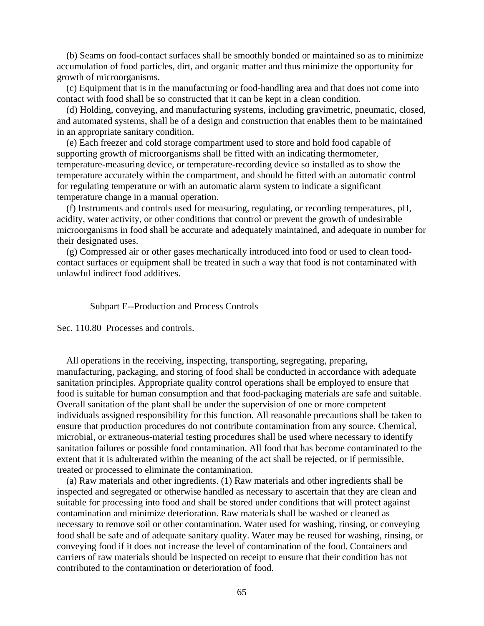(b) Seams on food-contact surfaces shall be smoothly bonded or maintained so as to minimize accumulation of food particles, dirt, and organic matter and thus minimize the opportunity for growth of microorganisms.

 (c) Equipment that is in the manufacturing or food-handling area and that does not come into contact with food shall be so constructed that it can be kept in a clean condition.

 (d) Holding, conveying, and manufacturing systems, including gravimetric, pneumatic, closed, and automated systems, shall be of a design and construction that enables them to be maintained in an appropriate sanitary condition.

 (e) Each freezer and cold storage compartment used to store and hold food capable of supporting growth of microorganisms shall be fitted with an indicating thermometer, temperature-measuring device, or temperature-recording device so installed as to show the temperature accurately within the compartment, and should be fitted with an automatic control for regulating temperature or with an automatic alarm system to indicate a significant temperature change in a manual operation.

 (f) Instruments and controls used for measuring, regulating, or recording temperatures, pH, acidity, water activity, or other conditions that control or prevent the growth of undesirable microorganisms in food shall be accurate and adequately maintained, and adequate in number for their designated uses.

 (g) Compressed air or other gases mechanically introduced into food or used to clean foodcontact surfaces or equipment shall be treated in such a way that food is not contaminated with unlawful indirect food additives.

#### Subpart E--Production and Process Controls

Sec. 110.80 Processes and controls.

 All operations in the receiving, inspecting, transporting, segregating, preparing, manufacturing, packaging, and storing of food shall be conducted in accordance with adequate sanitation principles. Appropriate quality control operations shall be employed to ensure that food is suitable for human consumption and that food-packaging materials are safe and suitable. Overall sanitation of the plant shall be under the supervision of one or more competent individuals assigned responsibility for this function. All reasonable precautions shall be taken to ensure that production procedures do not contribute contamination from any source. Chemical, microbial, or extraneous-material testing procedures shall be used where necessary to identify sanitation failures or possible food contamination. All food that has become contaminated to the extent that it is adulterated within the meaning of the act shall be rejected, or if permissible, treated or processed to eliminate the contamination.

 (a) Raw materials and other ingredients. (1) Raw materials and other ingredients shall be inspected and segregated or otherwise handled as necessary to ascertain that they are clean and suitable for processing into food and shall be stored under conditions that will protect against contamination and minimize deterioration. Raw materials shall be washed or cleaned as necessary to remove soil or other contamination. Water used for washing, rinsing, or conveying food shall be safe and of adequate sanitary quality. Water may be reused for washing, rinsing, or conveying food if it does not increase the level of contamination of the food. Containers and carriers of raw materials should be inspected on receipt to ensure that their condition has not contributed to the contamination or deterioration of food.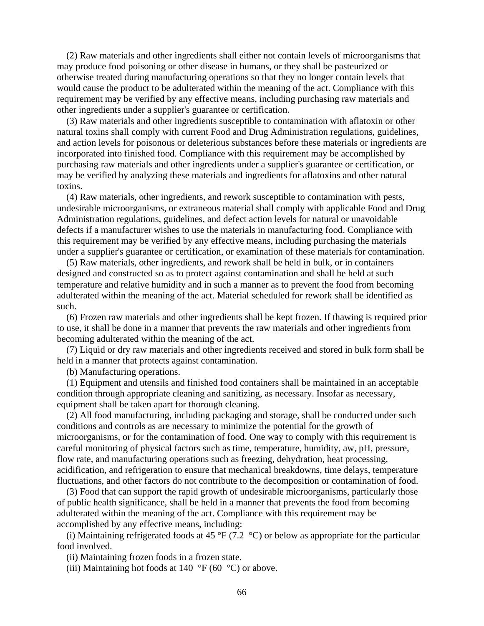(2) Raw materials and other ingredients shall either not contain levels of microorganisms that may produce food poisoning or other disease in humans, or they shall be pasteurized or otherwise treated during manufacturing operations so that they no longer contain levels that would cause the product to be adulterated within the meaning of the act. Compliance with this requirement may be verified by any effective means, including purchasing raw materials and other ingredients under a supplier's guarantee or certification.

 (3) Raw materials and other ingredients susceptible to contamination with aflatoxin or other natural toxins shall comply with current Food and Drug Administration regulations, guidelines, and action levels for poisonous or deleterious substances before these materials or ingredients are incorporated into finished food. Compliance with this requirement may be accomplished by purchasing raw materials and other ingredients under a supplier's guarantee or certification, or may be verified by analyzing these materials and ingredients for aflatoxins and other natural toxins.

 (4) Raw materials, other ingredients, and rework susceptible to contamination with pests, undesirable microorganisms, or extraneous material shall comply with applicable Food and Drug Administration regulations, guidelines, and defect action levels for natural or unavoidable defects if a manufacturer wishes to use the materials in manufacturing food. Compliance with this requirement may be verified by any effective means, including purchasing the materials under a supplier's guarantee or certification, or examination of these materials for contamination.

 (5) Raw materials, other ingredients, and rework shall be held in bulk, or in containers designed and constructed so as to protect against contamination and shall be held at such temperature and relative humidity and in such a manner as to prevent the food from becoming adulterated within the meaning of the act. Material scheduled for rework shall be identified as such.

 (6) Frozen raw materials and other ingredients shall be kept frozen. If thawing is required prior to use, it shall be done in a manner that prevents the raw materials and other ingredients from becoming adulterated within the meaning of the act.

 (7) Liquid or dry raw materials and other ingredients received and stored in bulk form shall be held in a manner that protects against contamination.

(b) Manufacturing operations.

 (1) Equipment and utensils and finished food containers shall be maintained in an acceptable condition through appropriate cleaning and sanitizing, as necessary. Insofar as necessary, equipment shall be taken apart for thorough cleaning.

 (2) All food manufacturing, including packaging and storage, shall be conducted under such conditions and controls as are necessary to minimize the potential for the growth of microorganisms, or for the contamination of food. One way to comply with this requirement is careful monitoring of physical factors such as time, temperature, humidity, aw, pH, pressure, flow rate, and manufacturing operations such as freezing, dehydration, heat processing, acidification, and refrigeration to ensure that mechanical breakdowns, time delays, temperature fluctuations, and other factors do not contribute to the decomposition or contamination of food.

 (3) Food that can support the rapid growth of undesirable microorganisms, particularly those of public health significance, shall be held in a manner that prevents the food from becoming adulterated within the meaning of the act. Compliance with this requirement may be accomplished by any effective means, including:

(i) Maintaining refrigerated foods at 45  $\degree$ F (7.2  $\degree$ C) or below as appropriate for the particular food involved.

(ii) Maintaining frozen foods in a frozen state.

(iii) Maintaining hot foods at 140  $\degree$ F (60  $\degree$ C) or above.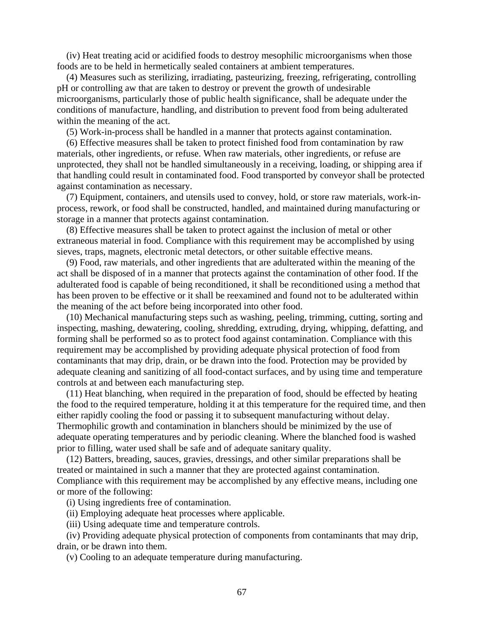(iv) Heat treating acid or acidified foods to destroy mesophilic microorganisms when those foods are to be held in hermetically sealed containers at ambient temperatures.

 (4) Measures such as sterilizing, irradiating, pasteurizing, freezing, refrigerating, controlling pH or controlling aw that are taken to destroy or prevent the growth of undesirable microorganisms, particularly those of public health significance, shall be adequate under the conditions of manufacture, handling, and distribution to prevent food from being adulterated within the meaning of the act.

(5) Work-in-process shall be handled in a manner that protects against contamination.

 (6) Effective measures shall be taken to protect finished food from contamination by raw materials, other ingredients, or refuse. When raw materials, other ingredients, or refuse are unprotected, they shall not be handled simultaneously in a receiving, loading, or shipping area if that handling could result in contaminated food. Food transported by conveyor shall be protected against contamination as necessary.

 (7) Equipment, containers, and utensils used to convey, hold, or store raw materials, work-inprocess, rework, or food shall be constructed, handled, and maintained during manufacturing or storage in a manner that protects against contamination.

 (8) Effective measures shall be taken to protect against the inclusion of metal or other extraneous material in food. Compliance with this requirement may be accomplished by using sieves, traps, magnets, electronic metal detectors, or other suitable effective means.

 (9) Food, raw materials, and other ingredients that are adulterated within the meaning of the act shall be disposed of in a manner that protects against the contamination of other food. If the adulterated food is capable of being reconditioned, it shall be reconditioned using a method that has been proven to be effective or it shall be reexamined and found not to be adulterated within the meaning of the act before being incorporated into other food.

 (10) Mechanical manufacturing steps such as washing, peeling, trimming, cutting, sorting and inspecting, mashing, dewatering, cooling, shredding, extruding, drying, whipping, defatting, and forming shall be performed so as to protect food against contamination. Compliance with this requirement may be accomplished by providing adequate physical protection of food from contaminants that may drip, drain, or be drawn into the food. Protection may be provided by adequate cleaning and sanitizing of all food-contact surfaces, and by using time and temperature controls at and between each manufacturing step.

 (11) Heat blanching, when required in the preparation of food, should be effected by heating the food to the required temperature, holding it at this temperature for the required time, and then either rapidly cooling the food or passing it to subsequent manufacturing without delay. Thermophilic growth and contamination in blanchers should be minimized by the use of adequate operating temperatures and by periodic cleaning. Where the blanched food is washed prior to filling, water used shall be safe and of adequate sanitary quality.

 (12) Batters, breading, sauces, gravies, dressings, and other similar preparations shall be treated or maintained in such a manner that they are protected against contamination. Compliance with this requirement may be accomplished by any effective means, including one or more of the following:

(i) Using ingredients free of contamination.

(ii) Employing adequate heat processes where applicable.

(iii) Using adequate time and temperature controls.

 (iv) Providing adequate physical protection of components from contaminants that may drip, drain, or be drawn into them.

(v) Cooling to an adequate temperature during manufacturing.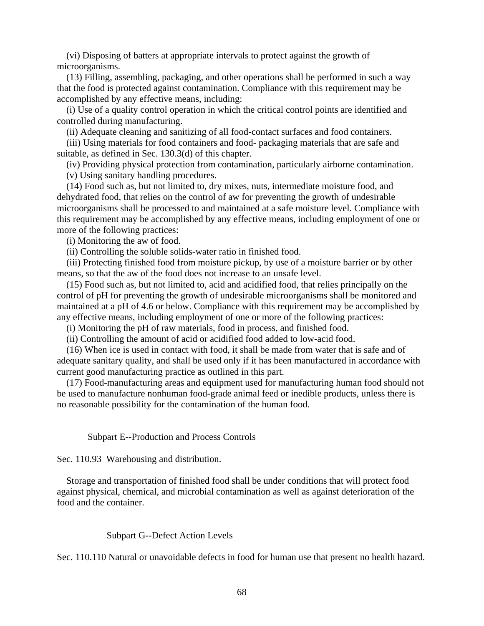(vi) Disposing of batters at appropriate intervals to protect against the growth of microorganisms.

 (13) Filling, assembling, packaging, and other operations shall be performed in such a way that the food is protected against contamination. Compliance with this requirement may be accomplished by any effective means, including:

 (i) Use of a quality control operation in which the critical control points are identified and controlled during manufacturing.

(ii) Adequate cleaning and sanitizing of all food-contact surfaces and food containers.

 (iii) Using materials for food containers and food- packaging materials that are safe and suitable, as defined in Sec. 130.3(d) of this chapter.

(iv) Providing physical protection from contamination, particularly airborne contamination.

(v) Using sanitary handling procedures.

 (14) Food such as, but not limited to, dry mixes, nuts, intermediate moisture food, and dehydrated food, that relies on the control of aw for preventing the growth of undesirable microorganisms shall be processed to and maintained at a safe moisture level. Compliance with this requirement may be accomplished by any effective means, including employment of one or more of the following practices:

(i) Monitoring the aw of food.

(ii) Controlling the soluble solids-water ratio in finished food.

 (iii) Protecting finished food from moisture pickup, by use of a moisture barrier or by other means, so that the aw of the food does not increase to an unsafe level.

 (15) Food such as, but not limited to, acid and acidified food, that relies principally on the control of pH for preventing the growth of undesirable microorganisms shall be monitored and maintained at a pH of 4.6 or below. Compliance with this requirement may be accomplished by any effective means, including employment of one or more of the following practices:

(i) Monitoring the pH of raw materials, food in process, and finished food.

(ii) Controlling the amount of acid or acidified food added to low-acid food.

 (16) When ice is used in contact with food, it shall be made from water that is safe and of adequate sanitary quality, and shall be used only if it has been manufactured in accordance with current good manufacturing practice as outlined in this part.

 (17) Food-manufacturing areas and equipment used for manufacturing human food should not be used to manufacture nonhuman food-grade animal feed or inedible products, unless there is no reasonable possibility for the contamination of the human food.

Subpart E--Production and Process Controls

Sec. 110.93 Warehousing and distribution.

 Storage and transportation of finished food shall be under conditions that will protect food against physical, chemical, and microbial contamination as well as against deterioration of the food and the container.

#### Subpart G--Defect Action Levels

Sec. 110.110 Natural or unavoidable defects in food for human use that present no health hazard.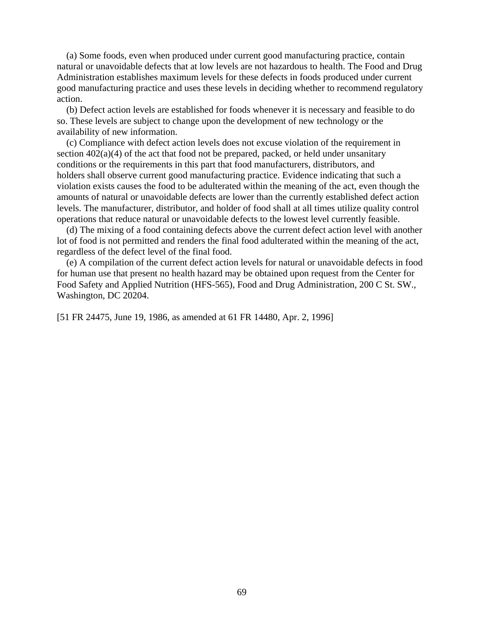(a) Some foods, even when produced under current good manufacturing practice, contain natural or unavoidable defects that at low levels are not hazardous to health. The Food and Drug Administration establishes maximum levels for these defects in foods produced under current good manufacturing practice and uses these levels in deciding whether to recommend regulatory action.

 (b) Defect action levels are established for foods whenever it is necessary and feasible to do so. These levels are subject to change upon the development of new technology or the availability of new information.

 (c) Compliance with defect action levels does not excuse violation of the requirement in section  $402(a)(4)$  of the act that food not be prepared, packed, or held under unsanitary conditions or the requirements in this part that food manufacturers, distributors, and holders shall observe current good manufacturing practice. Evidence indicating that such a violation exists causes the food to be adulterated within the meaning of the act, even though the amounts of natural or unavoidable defects are lower than the currently established defect action levels. The manufacturer, distributor, and holder of food shall at all times utilize quality control operations that reduce natural or unavoidable defects to the lowest level currently feasible.

 (d) The mixing of a food containing defects above the current defect action level with another lot of food is not permitted and renders the final food adulterated within the meaning of the act, regardless of the defect level of the final food.

 (e) A compilation of the current defect action levels for natural or unavoidable defects in food for human use that present no health hazard may be obtained upon request from the Center for Food Safety and Applied Nutrition (HFS-565), Food and Drug Administration, 200 C St. SW., Washington, DC 20204.

[51 FR 24475, June 19, 1986, as amended at 61 FR 14480, Apr. 2, 1996]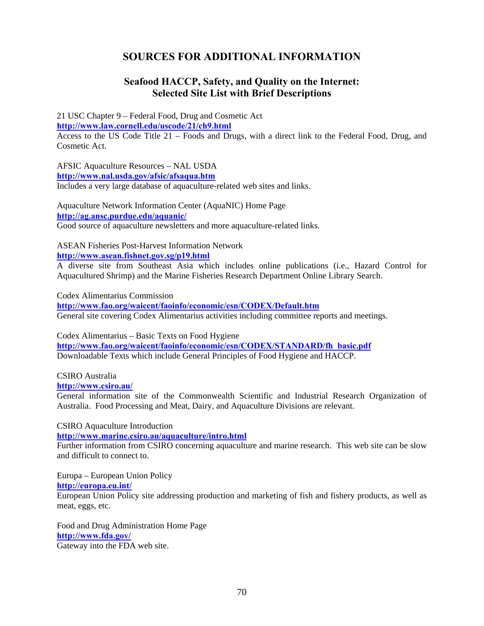# **SOURCES FOR ADDITIONAL INFORMATION**

## **Seafood HACCP, Safety, and Quality on the Internet: Selected Site List with Brief Descriptions**

21 USC Chapter 9 – Federal Food, Drug and Cosmetic Act **http://www.law.cornell.edu/uscode/21/ch9.html**

Access to the US Code Title 21 – Foods and Drugs, with a direct link to the Federal Food, Drug, and Cosmetic Act.

AFSIC Aquaculture Resources – NAL USDA **http://www.nal.usda.gov/afsic/afsaqua.htm** Includes a very large database of aquaculture-related web sites and links.

Aquaculture Network Information Center (AquaNIC) Home Page **http://ag.ansc.purdue.edu/aquanic/** Good source of aquaculture newsletters and more aquaculture-related links.

ASEAN Fisheries Post-Harvest Information Network **http://www.asean.fishnet.gov.sg/p19.html**

A diverse site from Southeast Asia which includes online publications (i.e., Hazard Control for Aquacultured Shrimp) and the Marine Fisheries Research Department Online Library Search.

Codex Alimentarius Commission

**http://www.fao.org/waicent/faoinfo/economic/esn/CODEX/Default.htm** General site covering Codex Alimentarius activities including committee reports and meetings.

Codex Alimentarius – Basic Texts on Food Hygiene

**http://www.fao.org/waicent/faoinfo/economic/esn/CODEX/STANDARD/fh\_basic.pdf** Downloadable Texts which include General Principles of Food Hygiene and HACCP.

CSIRO Australia

**http://www.csiro.au/**

General information site of the Commonwealth Scientific and Industrial Research Organization of Australia. Food Processing and Meat, Dairy, and Aquaculture Divisions are relevant.

CSIRO Aquaculture Introduction

**http://www.marine.csiro.au/aquaculture/intro.html**

Further information from CSIRO concerning aquaculture and marine research. This web site can be slow and difficult to connect to.

Europa – European Union Policy

**http://europa.eu.int/**

European Union Policy site addressing production and marketing of fish and fishery products, as well as meat, eggs, etc.

Food and Drug Administration Home Page **http://www.fda.gov/** Gateway into the FDA web site.